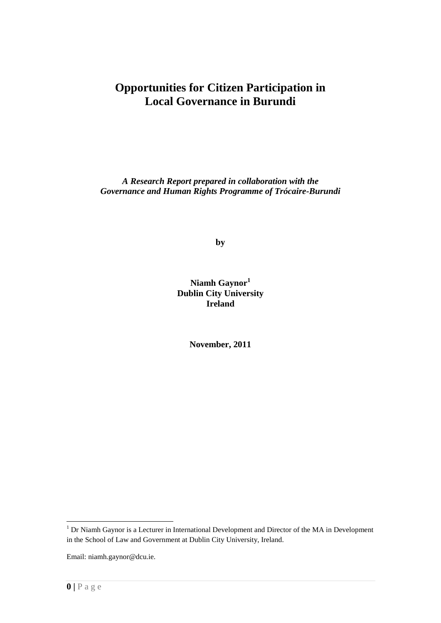## **Opportunities for Citizen Participation in Local Governance in Burundi**

*A Research Report prepared in collaboration with the Governance and Human Rights Programme of Trócaire-Burundi*

**by**

**Niamh Gaynor<sup>1</sup> Dublin City University Ireland**

**November, 2011**

<sup>&</sup>lt;sup>1</sup> Dr Niamh Gaynor is a Lecturer in International Development and Director of the MA in Development in the School of Law and Government at Dublin City University, Ireland.

Email: niamh.gaynor@dcu.ie.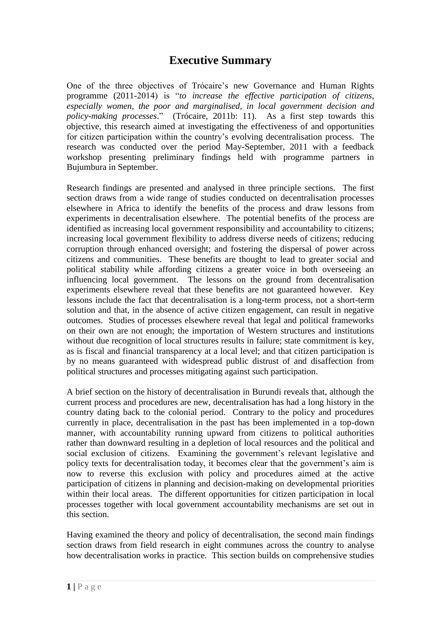## **Executive Summary**

One of the three objectives of Trócaire"s new Governance and Human Rights programme (2011-2014) is "*to increase the effective participation of citizens, especially women, the poor and marginalised, in local government decision and policy-making processes*." (Trócaire, 2011b: 11). As a first step towards this objective, this research aimed at investigating the effectiveness of and opportunities for citizen participation within the country"s evolving decentralisation process. The research was conducted over the period May-September, 2011 with a feedback workshop presenting preliminary findings held with programme partners in Bujumbura in September.

Research findings are presented and analysed in three principle sections. The first section draws from a wide range of studies conducted on decentralisation processes elsewhere in Africa to identify the benefits of the process and draw lessons from experiments in decentralisation elsewhere. The potential benefits of the process are identified as increasing local government responsibility and accountability to citizens; increasing local government flexibility to address diverse needs of citizens; reducing corruption through enhanced oversight; and fostering the dispersal of power across citizens and communities. These benefits are thought to lead to greater social and political stability while affording citizens a greater voice in both overseeing an influencing local government. The lessons on the ground from decentralisation experiments elsewhere reveal that these benefits are not guaranteed however. Key lessons include the fact that decentralisation is a long-term process, not a short-term solution and that, in the absence of active citizen engagement, can result in negative outcomes. Studies of processes elsewhere reveal that legal and political frameworks on their own are not enough; the importation of Western structures and institutions without due recognition of local structures results in failure; state commitment is key, as is fiscal and financial transparency at a local level; and that citizen participation is by no means guaranteed with widespread public distrust of and disaffection from political structures and processes mitigating against such participation.

A brief section on the history of decentralisation in Burundi reveals that, although the current process and procedures are new, decentralisation has had a long history in the country dating back to the colonial period. Contrary to the policy and procedures currently in place, decentralisation in the past has been implemented in a top-down manner, with accountability running upward from citizens to political authorities rather than downward resulting in a depletion of local resources and the political and social exclusion of citizens. Examining the government's relevant legislative and policy texts for decentralisation today, it becomes clear that the government's aim is now to reverse this exclusion with policy and procedures aimed at the active participation of citizens in planning and decision-making on developmental priorities within their local areas. The different opportunities for citizen participation in local processes together with local government accountability mechanisms are set out in this section.

Having examined the theory and policy of decentralisation, the second main findings section draws from field research in eight communes across the country to analyse how decentralisation works in practice. This section builds on comprehensive studies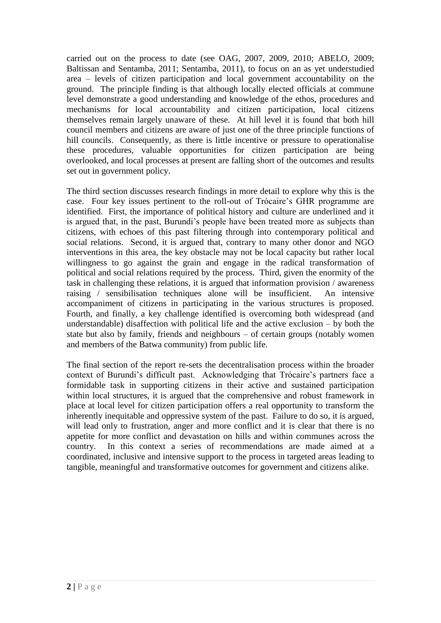carried out on the process to date (see OAG, 2007, 2009, 2010; ABELO, 2009; Baltissan and Sentamba, 2011; Sentamba, 2011), to focus on an as yet understudied area – levels of citizen participation and local government accountability on the ground. The principle finding is that although locally elected officials at commune level demonstrate a good understanding and knowledge of the ethos, procedures and mechanisms for local accountability and citizen participation, local citizens themselves remain largely unaware of these. At hill level it is found that both hill council members and citizens are aware of just one of the three principle functions of hill councils. Consequently, as there is little incentive or pressure to operationalise these procedures, valuable opportunities for citizen participation are being overlooked, and local processes at present are falling short of the outcomes and results set out in government policy.

The third section discusses research findings in more detail to explore why this is the case. Four key issues pertinent to the roll-out of Trócaire"s GHR programme are identified. First, the importance of political history and culture are underlined and it is argued that, in the past, Burundi"s people have been treated more as subjects than citizens, with echoes of this past filtering through into contemporary political and social relations. Second, it is argued that, contrary to many other donor and NGO interventions in this area, the key obstacle may not be local capacity but rather local willingness to go against the grain and engage in the radical transformation of political and social relations required by the process. Third, given the enormity of the task in challenging these relations, it is argued that information provision / awareness raising / sensibilisation techniques alone will be insufficient. An intensive accompaniment of citizens in participating in the various structures is proposed. Fourth, and finally, a key challenge identified is overcoming both widespread (and understandable) disaffection with political life and the active exclusion – by both the state but also by family, friends and neighbours – of certain groups (notably women and members of the Batwa community) from public life.

The final section of the report re-sets the decentralisation process within the broader context of Burundi's difficult past. Acknowledging that Trócaire's partners face a formidable task in supporting citizens in their active and sustained participation within local structures, it is argued that the comprehensive and robust framework in place at local level for citizen participation offers a real opportunity to transform the inherently inequitable and oppressive system of the past. Failure to do so, it is argued, will lead only to frustration, anger and more conflict and it is clear that there is no appetite for more conflict and devastation on hills and within communes across the country. In this context a series of recommendations are made aimed at a coordinated, inclusive and intensive support to the process in targeted areas leading to tangible, meaningful and transformative outcomes for government and citizens alike.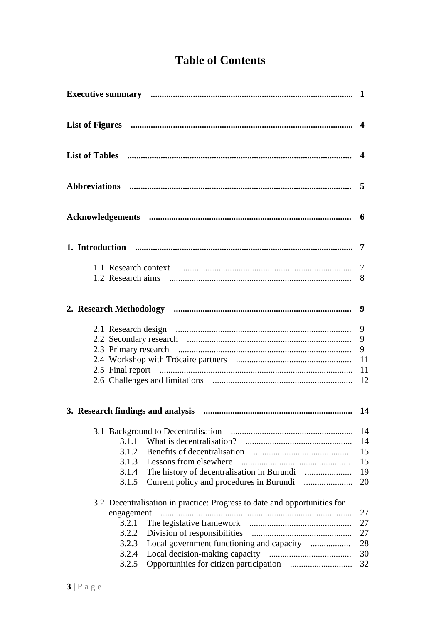# **Table of Contents**

|                                                                                                                                                               | 9<br>9<br>-11<br>12                    |
|---------------------------------------------------------------------------------------------------------------------------------------------------------------|----------------------------------------|
|                                                                                                                                                               |                                        |
| 3.1.1<br>3.1.2<br>3.1.3<br>Lessons from elsewhere<br>3.1.4<br>3.1.5<br>3.2 Decentralisation in practice: Progress to date and opportunities for<br>engagement | 14<br>14<br>15<br>15<br>19<br>20<br>27 |
| 3.2.1<br>3.2.2<br>3.2.3<br>3.2.4<br>3.2.5                                                                                                                     | 27<br>27<br>28<br>30<br>32             |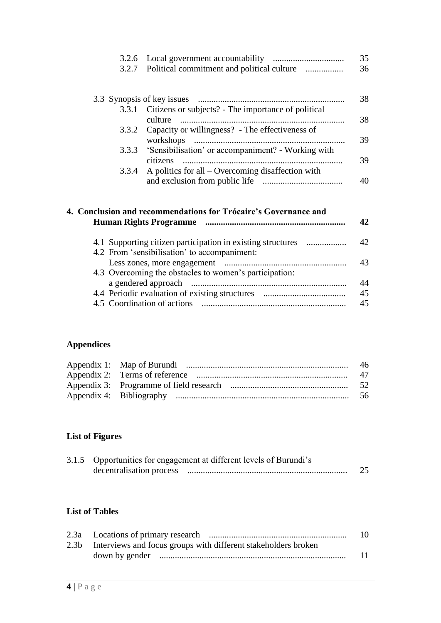|  |                                                  | 35   |
|--|--------------------------------------------------|------|
|  | 3.2.7 Political commitment and political culture | - 36 |
|  |                                                  |      |
|  |                                                  |      |

|       |                                                           | 38 |
|-------|-----------------------------------------------------------|----|
|       | 3.3.1 Citizens or subjects? - The importance of political |    |
|       |                                                           | 38 |
|       | 3.3.2 Capacity or willingness? - The effectiveness of     |    |
|       |                                                           | 39 |
|       | 3.3.3 'Sensibilisation' or accompaniment? - Working with  |    |
|       |                                                           | 39 |
| 3.3.4 | A politics for all – Overcoming disaffection with         |    |
|       |                                                           | 40 |

| 4. Conclusion and recommendations for Trócaire's Governance and<br><b>Human Rights Programme</b>            | 42.            |
|-------------------------------------------------------------------------------------------------------------|----------------|
| 4.1 Supporting citizen participation in existing structures<br>4.2 From 'sensibilisation' to accompaniment: | 42.            |
| 4.3 Overcoming the obstacles to women's participation:                                                      | 43             |
| 4.5 Coordination of actions                                                                                 | 44<br>45<br>45 |

## **Appendices**

## **List of Figures**

| 3.1.5 Opportunities for engagement at different levels of Burundi's |  |  |
|---------------------------------------------------------------------|--|--|
| decentralisation process                                            |  |  |

## **List of Tables**

|                                                                     | 10 |  |
|---------------------------------------------------------------------|----|--|
| 2.3b Interviews and focus groups with different stakeholders broken |    |  |
|                                                                     | 11 |  |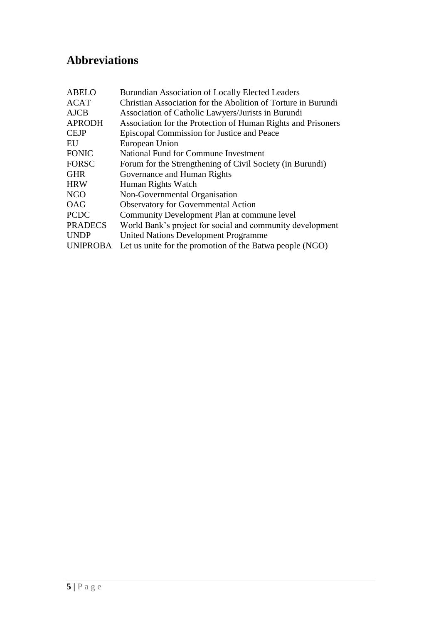# **Abbreviations**

| <b>ABELO</b>    | <b>Burundian Association of Locally Elected Leaders</b>       |  |
|-----------------|---------------------------------------------------------------|--|
| <b>ACAT</b>     | Christian Association for the Abolition of Torture in Burundi |  |
| <b>AJCB</b>     | Association of Catholic Lawyers/Jurists in Burundi            |  |
| <b>APRODH</b>   | Association for the Protection of Human Rights and Prisoners  |  |
| <b>CEJP</b>     | Episcopal Commission for Justice and Peace                    |  |
| EU              | European Union                                                |  |
| <b>FONIC</b>    | National Fund for Commune Investment                          |  |
| <b>FORSC</b>    | Forum for the Strengthening of Civil Society (in Burundi)     |  |
| <b>GHR</b>      | Governance and Human Rights                                   |  |
| <b>HRW</b>      | Human Rights Watch                                            |  |
| <b>NGO</b>      | Non-Governmental Organisation                                 |  |
| <b>OAG</b>      | <b>Observatory for Governmental Action</b>                    |  |
| <b>PCDC</b>     | Community Development Plan at commune level                   |  |
| <b>PRADECS</b>  | World Bank's project for social and community development     |  |
| <b>UNDP</b>     | <b>United Nations Development Programme</b>                   |  |
| <b>UNIPROBA</b> | Let us unite for the promotion of the Batwa people (NGO)      |  |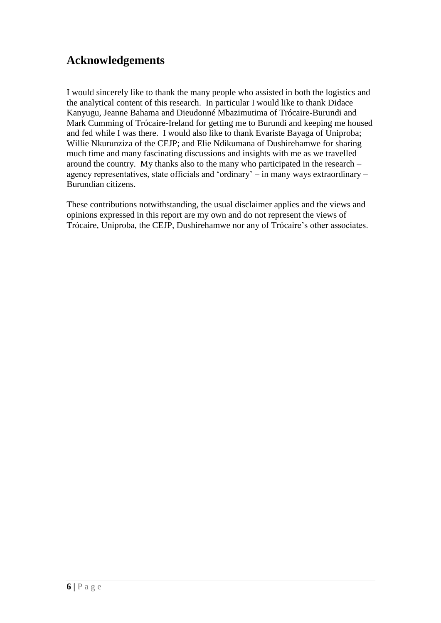## **Acknowledgements**

I would sincerely like to thank the many people who assisted in both the logistics and the analytical content of this research. In particular I would like to thank Didace Kanyugu, Jeanne Bahama and Dieudonné Mbazimutima of Trócaire-Burundi and Mark Cumming of Trócaire**-**Ireland for getting me to Burundi and keeping me housed and fed while I was there. I would also like to thank Evariste Bayaga of Uniproba; Willie Nkurunziza of the CEJP; and Elie Ndikumana of Dushirehamwe for sharing much time and many fascinating discussions and insights with me as we travelled around the country. My thanks also to the many who participated in the research – agency representatives, state officials and "ordinary" – in many ways extraordinary – Burundian citizens.

These contributions notwithstanding, the usual disclaimer applies and the views and opinions expressed in this report are my own and do not represent the views of Trócaire, Uniproba, the CEJP, Dushirehamwe nor any of Trócaire"s other associates.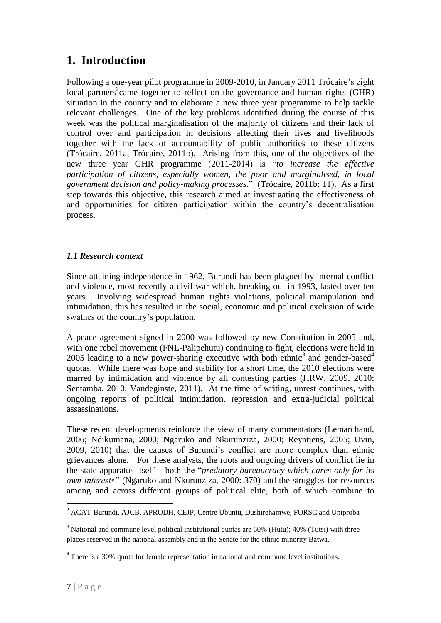## **1. Introduction**

Following a one-year pilot programme in 2009-2010, in January 2011 Trócaire's eight local partners<sup>2</sup> came together to reflect on the governance and human rights (GHR) situation in the country and to elaborate a new three year programme to help tackle relevant challenges. One of the key problems identified during the course of this week was the political marginalisation of the majority of citizens and their lack of control over and participation in decisions affecting their lives and livelihoods together with the lack of accountability of public authorities to these citizens (Trócaire, 2011a, Trócaire, 2011b). Arising from this, one of the objectives of the new three year GHR programme (2011-2014) is "*to increase the effective participation of citizens, especially women, the poor and marginalised, in local government decision and policy-making processes*." (Trócaire, 2011b: 11). As a first step towards this objective, this research aimed at investigating the effectiveness of and opportunities for citizen participation within the country"s decentralisation process.

## *1.1 Research context*

Since attaining independence in 1962, Burundi has been plagued by internal conflict and violence, most recently a civil war which, breaking out in 1993, lasted over ten years. Involving widespread human rights violations, political manipulation and intimidation, this has resulted in the social, economic and political exclusion of wide swathes of the country"s population.

A peace agreement signed in 2000 was followed by new Constitution in 2005 and, with one rebel movement (FNL-Palipehutu) continuing to fight, elections were held in 2005 leading to a new power-sharing executive with both ethnic<sup>3</sup> and gender-based<sup>4</sup> quotas. While there was hope and stability for a short time, the 2010 elections were marred by intimidation and violence by all contesting parties (HRW, 2009, 2010; Sentamba, 2010; Vandeginste, 2011). At the time of writing, unrest continues, with ongoing reports of political intimidation, repression and extra-judicial political assassinations.

These recent developments reinforce the view of many commentators (Lemarchand, 2006; Ndikumana, 2000; Ngaruko and Nkurunziza, 2000; Reyntjens, 2005; Uvin, 2009, 2010) that the causes of Burundi"s conflict are more complex than ethnic grievances alone. For these analysts, the roots and ongoing drivers of conflict lie in the state apparatus itself – both the "*predatory bureaucracy which cares only for its own interests"* (Ngaruko and Nkurunziza, 2000: 370) and the struggles for resources among and across different groups of political elite, both of which combine to

<sup>1</sup>  $2$  ACAT-Burundi, AJCB, APRODH, CEJP, Centre Ubuntu, Dushirehamwe, FORSC and Uniproba

<sup>&</sup>lt;sup>3</sup> National and commune level political institutional quotas are 60% (Hutu); 40% (Tutsi) with three places reserved in the national assembly and in the Senate for the ethnic minority Batwa.

<sup>&</sup>lt;sup>4</sup> There is a 30% quota for female representation in national and commune level institutions.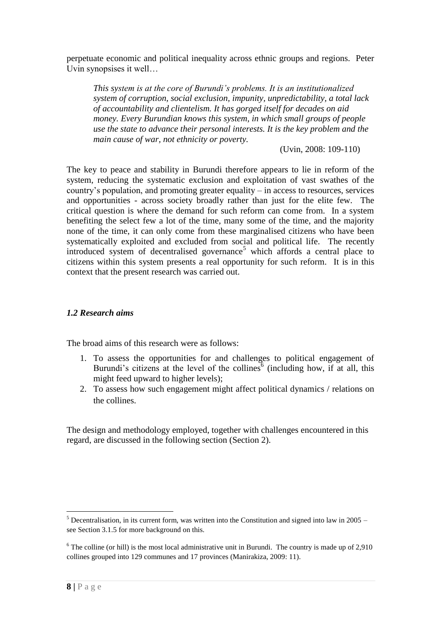perpetuate economic and political inequality across ethnic groups and regions. Peter Uvin synopsises it well…

*This system is at the core of Burundi"s problems. It is an institutionalized system of corruption, social exclusion, impunity, unpredictability, a total lack of accountability and clientelism. It has gorged itself for decades on aid money. Every Burundian knows this system, in which small groups of people use the state to advance their personal interests. It is the key problem and the main cause of war, not ethnicity or poverty.*

(Uvin, 2008: 109-110)

The key to peace and stability in Burundi therefore appears to lie in reform of the system, reducing the systematic exclusion and exploitation of vast swathes of the country"s population, and promoting greater equality – in access to resources, services and opportunities - across society broadly rather than just for the elite few. The critical question is where the demand for such reform can come from. In a system benefiting the select few a lot of the time, many some of the time, and the majority none of the time, it can only come from these marginalised citizens who have been systematically exploited and excluded from social and political life. The recently introduced system of decentralised governance<sup>5</sup> which affords a central place to citizens within this system presents a real opportunity for such reform. It is in this context that the present research was carried out.

#### *1.2 Research aims*

The broad aims of this research were as follows:

- 1. To assess the opportunities for and challenges to political engagement of Burundi's citizens at the level of the collines<sup>6</sup> (including how, if at all, this might feed upward to higher levels);
- 2. To assess how such engagement might affect political dynamics / relations on the collines.

The design and methodology employed, together with challenges encountered in this regard, are discussed in the following section (Section 2).

 $5$  Decentralisation, in its current form, was written into the Constitution and signed into law in 2005 – see Section 3.1.5 for more background on this.

 $6$  The colline (or hill) is the most local administrative unit in Burundi. The country is made up of 2,910 collines grouped into 129 communes and 17 provinces (Manirakiza, 2009: 11).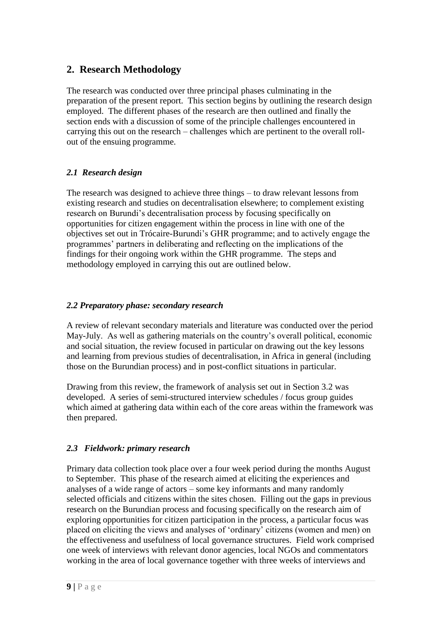## **2. Research Methodology**

The research was conducted over three principal phases culminating in the preparation of the present report. This section begins by outlining the research design employed. The different phases of the research are then outlined and finally the section ends with a discussion of some of the principle challenges encountered in carrying this out on the research – challenges which are pertinent to the overall rollout of the ensuing programme.

## *2.1 Research design*

The research was designed to achieve three things – to draw relevant lessons from existing research and studies on decentralisation elsewhere; to complement existing research on Burundi"s decentralisation process by focusing specifically on opportunities for citizen engagement within the process in line with one of the objectives set out in Trócaire-Burundi"s GHR programme; and to actively engage the programmes" partners in deliberating and reflecting on the implications of the findings for their ongoing work within the GHR programme. The steps and methodology employed in carrying this out are outlined below.

## *2.2 Preparatory phase: secondary research*

A review of relevant secondary materials and literature was conducted over the period May-July. As well as gathering materials on the country's overall political, economic and social situation, the review focused in particular on drawing out the key lessons and learning from previous studies of decentralisation, in Africa in general (including those on the Burundian process) and in post-conflict situations in particular.

Drawing from this review, the framework of analysis set out in Section 3.2 was developed. A series of semi-structured interview schedules / focus group guides which aimed at gathering data within each of the core areas within the framework was then prepared.

## *2.3 Fieldwork: primary research*

Primary data collection took place over a four week period during the months August to September. This phase of the research aimed at eliciting the experiences and analyses of a wide range of actors – some key informants and many randomly selected officials and citizens within the sites chosen. Filling out the gaps in previous research on the Burundian process and focusing specifically on the research aim of exploring opportunities for citizen participation in the process, a particular focus was placed on eliciting the views and analyses of "ordinary" citizens (women and men) on the effectiveness and usefulness of local governance structures. Field work comprised one week of interviews with relevant donor agencies, local NGOs and commentators working in the area of local governance together with three weeks of interviews and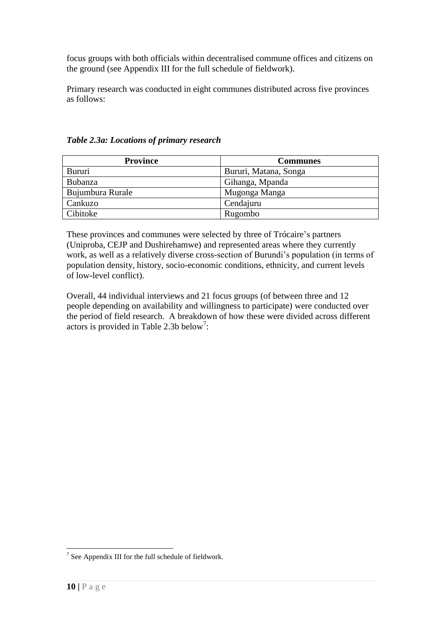focus groups with both officials within decentralised commune offices and citizens on the ground (see Appendix III for the full schedule of fieldwork).

Primary research was conducted in eight communes distributed across five provinces as follows:

**Province Communes** Bururi Bururi, Matana, Songa Bubanza Gihanga, Mpanda Bujumbura Rurale Mugonga Manga Cankuzo Cankuzo Cendajuru Cibitoke Rugombo

*Table 2.3a: Locations of primary research* 

These provinces and communes were selected by three of Trócaire's partners (Uniproba, CEJP and Dushirehamwe) and represented areas where they currently work, as well as a relatively diverse cross-section of Burundi"s population (in terms of population density, history, socio-economic conditions, ethnicity, and current levels of low-level conflict).

Overall, 44 individual interviews and 21 focus groups (of between three and 12 people depending on availability and willingness to participate) were conducted over the period of field research. A breakdown of how these were divided across different actors is provided in Table 2.3b below<sup>7</sup>:

<sup>&</sup>lt;sup>7</sup> See Appendix III for the full schedule of fieldwork.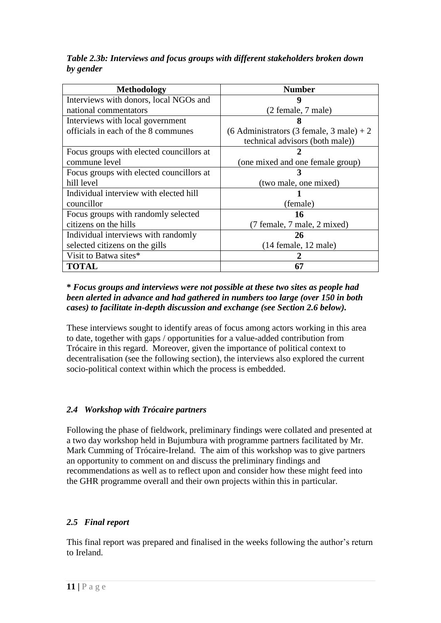*Table 2.3b: Interviews and focus groups with different stakeholders broken down by gender*

| <b>Methodology</b>                       | <b>Number</b>                                  |
|------------------------------------------|------------------------------------------------|
| Interviews with donors, local NGOs and   | 9                                              |
| national commentators                    | (2 female, 7 male)                             |
| Interviews with local government         | 8                                              |
| officials in each of the 8 communes      | $(6$ Administrators $(3$ female, $3$ male) + 2 |
|                                          | technical advisors (both male))                |
| Focus groups with elected councillors at |                                                |
| commune level                            | (one mixed and one female group)               |
| Focus groups with elected councillors at |                                                |
| hill level                               | (two male, one mixed)                          |
| Individual interview with elected hill   |                                                |
| councillor                               | (female)                                       |
| Focus groups with randomly selected      | 16                                             |
| citizens on the hills                    | (7 female, 7 male, 2 mixed)                    |
| Individual interviews with randomly      | 26                                             |
| selected citizens on the gills           | $(14$ female, $12$ male)                       |
| Visit to Batwa sites*                    |                                                |
| <b>TOTAL</b>                             | 67                                             |

### **\*** *Focus groups and interviews were not possible at these two sites as people had been alerted in advance and had gathered in numbers too large (over 150 in both cases) to facilitate in-depth discussion and exchange (see Section 2.6 below).*

These interviews sought to identify areas of focus among actors working in this area to date, together with gaps / opportunities for a value-added contribution from Trócaire in this regard. Moreover, given the importance of political context to decentralisation (see the following section), the interviews also explored the current socio-political context within which the process is embedded.

## *2.4 Workshop with Trócaire partners*

Following the phase of fieldwork, preliminary findings were collated and presented at a two day workshop held in Bujumbura with programme partners facilitated by Mr. Mark Cumming of Trócaire-Ireland. The aim of this workshop was to give partners an opportunity to comment on and discuss the preliminary findings and recommendations as well as to reflect upon and consider how these might feed into the GHR programme overall and their own projects within this in particular.

## *2.5 Final report*

This final report was prepared and finalised in the weeks following the author"s return to Ireland.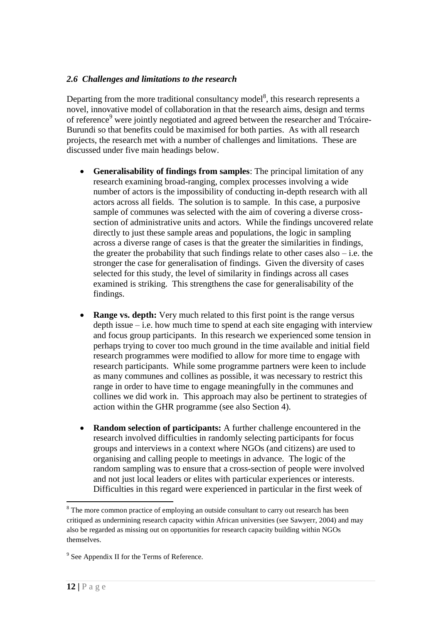#### *2.6 Challenges and limitations to the research*

Departing from the more traditional consultancy model<sup>8</sup>, this research represents a novel, innovative model of collaboration in that the research aims, design and terms of reference<sup>9</sup> were jointly negotiated and agreed between the researcher and Trócaire-Burundi so that benefits could be maximised for both parties. As with all research projects, the research met with a number of challenges and limitations. These are discussed under five main headings below.

- **Generalisability of findings from samples**: The principal limitation of any research examining broad-ranging, complex processes involving a wide number of actors is the impossibility of conducting in-depth research with all actors across all fields. The solution is to sample. In this case, a purposive sample of communes was selected with the aim of covering a diverse crosssection of administrative units and actors. While the findings uncovered relate directly to just these sample areas and populations, the logic in sampling across a diverse range of cases is that the greater the similarities in findings, the greater the probability that such findings relate to other cases also  $-$  i.e. the stronger the case for generalisation of findings. Given the diversity of cases selected for this study, the level of similarity in findings across all cases examined is striking. This strengthens the case for generalisability of the findings.
- **Range vs. depth:** Very much related to this first point is the range versus depth issue  $-i.e.$  how much time to spend at each site engaging with interview and focus group participants. In this research we experienced some tension in perhaps trying to cover too much ground in the time available and initial field research programmes were modified to allow for more time to engage with research participants. While some programme partners were keen to include as many communes and collines as possible, it was necessary to restrict this range in order to have time to engage meaningfully in the communes and collines we did work in. This approach may also be pertinent to strategies of action within the GHR programme (see also Section 4).
- **Random selection of participants:** A further challenge encountered in the research involved difficulties in randomly selecting participants for focus groups and interviews in a context where NGOs (and citizens) are used to organising and calling people to meetings in advance.The logic of the random sampling was to ensure that a cross-section of people were involved and not just local leaders or elites with particular experiences or interests. Difficulties in this regard were experienced in particular in the first week of

<sup>&</sup>lt;sup>8</sup> The more common practice of employing an outside consultant to carry out research has been critiqued as undermining research capacity within African universities (see Sawyerr, 2004) and may also be regarded as missing out on opportunities for research capacity building within NGOs themselves.

<sup>&</sup>lt;sup>9</sup> See Appendix II for the Terms of Reference.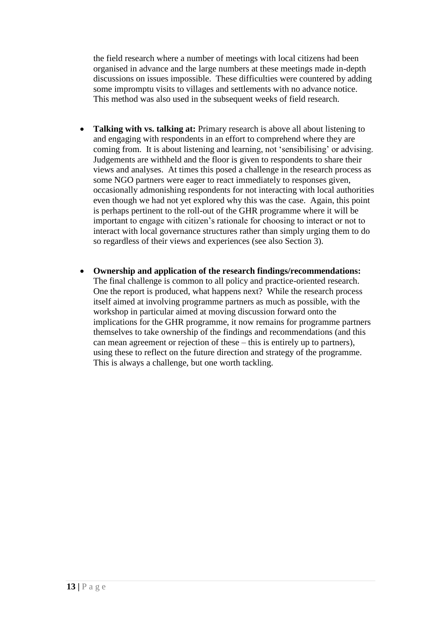the field research where a number of meetings with local citizens had been organised in advance and the large numbers at these meetings made in-depth discussions on issues impossible. These difficulties were countered by adding some impromptu visits to villages and settlements with no advance notice. This method was also used in the subsequent weeks of field research.

- **Talking with vs. talking at:** Primary research is above all about listening to and engaging with respondents in an effort to comprehend where they are coming from. It is about listening and learning, not "sensibilising" or advising. Judgements are withheld and the floor is given to respondents to share their views and analyses. At times this posed a challenge in the research process as some NGO partners were eager to react immediately to responses given, occasionally admonishing respondents for not interacting with local authorities even though we had not yet explored why this was the case. Again, this point is perhaps pertinent to the roll-out of the GHR programme where it will be important to engage with citizen"s rationale for choosing to interact or not to interact with local governance structures rather than simply urging them to do so regardless of their views and experiences (see also Section 3).
- **Ownership and application of the research findings/recommendations:**  The final challenge is common to all policy and practice-oriented research. One the report is produced, what happens next? While the research process itself aimed at involving programme partners as much as possible, with the workshop in particular aimed at moving discussion forward onto the implications for the GHR programme, it now remains for programme partners themselves to take ownership of the findings and recommendations (and this can mean agreement or rejection of these – this is entirely up to partners), using these to reflect on the future direction and strategy of the programme. This is always a challenge, but one worth tackling.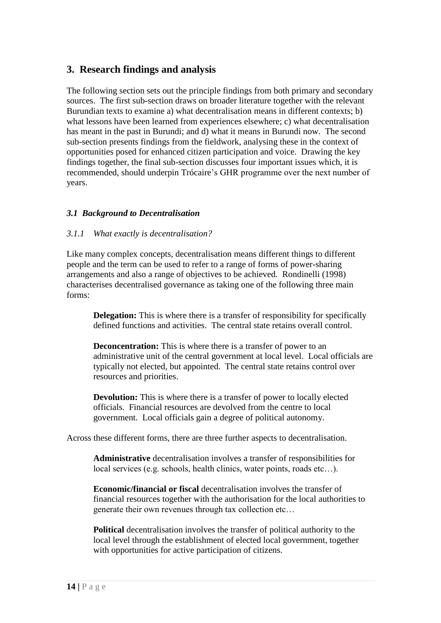## **3. Research findings and analysis**

The following section sets out the principle findings from both primary and secondary sources. The first sub-section draws on broader literature together with the relevant Burundian texts to examine a) what decentralisation means in different contexts; b) what lessons have been learned from experiences elsewhere; c) what decentralisation has meant in the past in Burundi; and d) what it means in Burundi now. The second sub-section presents findings from the fieldwork, analysing these in the context of opportunities posed for enhanced citizen participation and voice. Drawing the key findings together, the final sub-section discusses four important issues which, it is recommended, should underpin Trócaire"s GHR programme over the next number of years.

### *3.1 Background to Decentralisation*

#### *3.1.1 What exactly is decentralisation?*

Like many complex concepts, decentralisation means different things to different people and the term can be used to refer to a range of forms of power-sharing arrangements and also a range of objectives to be achieved. Rondinelli (1998) characterises decentralised governance as taking one of the following three main forms:

**Delegation:** This is where there is a transfer of responsibility for specifically defined functions and activities. The central state retains overall control.

**Deconcentration:** This is where there is a transfer of power to an administrative unit of the central government at local level. Local officials are typically not elected, but appointed. The central state retains control over resources and priorities.

**Devolution:** This is where there is a transfer of power to locally elected officials. Financial resources are devolved from the centre to local government. Local officials gain a degree of political autonomy.

Across these different forms, there are three further aspects to decentralisation.

**Administrative** decentralisation involves a transfer of responsibilities for local services (e.g. schools, health clinics, water points, roads etc…).

**Economic/financial or fiscal** decentralisation involves the transfer of financial resources together with the authorisation for the local authorities to generate their own revenues through tax collection etc…

**Political** decentralisation involves the transfer of political authority to the local level through the establishment of elected local government, together with opportunities for active participation of citizens.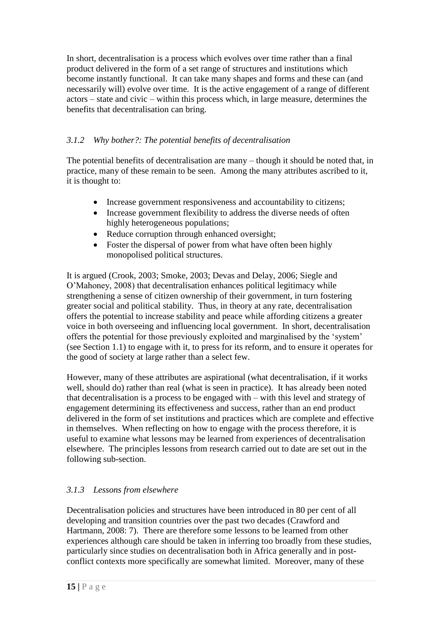In short, decentralisation is a process which evolves over time rather than a final product delivered in the form of a set range of structures and institutions which become instantly functional. It can take many shapes and forms and these can (and necessarily will) evolve over time. It is the active engagement of a range of different actors – state and civic – within this process which, in large measure, determines the benefits that decentralisation can bring.

## *3.1.2 Why bother?: The potential benefits of decentralisation*

The potential benefits of decentralisation are many – though it should be noted that, in practice, many of these remain to be seen. Among the many attributes ascribed to it, it is thought to:

- Increase government responsiveness and accountability to citizens;
- Increase government flexibility to address the diverse needs of often highly heterogeneous populations;
- Reduce corruption through enhanced oversight;
- Foster the dispersal of power from what have often been highly monopolised political structures.

It is argued (Crook, 2003; Smoke, 2003; Devas and Delay, 2006; Siegle and O"Mahoney, 2008) that decentralisation enhances political legitimacy while strengthening a sense of citizen ownership of their government, in turn fostering greater social and political stability. Thus, in theory at any rate, decentralisation offers the potential to increase stability and peace while affording citizens a greater voice in both overseeing and influencing local government. In short, decentralisation offers the potential for those previously exploited and marginalised by the "system" (see Section 1.1) to engage with it, to press for its reform, and to ensure it operates for the good of society at large rather than a select few.

However, many of these attributes are aspirational (what decentralisation, if it works well, should do) rather than real (what is seen in practice). It has already been noted that decentralisation is a process to be engaged with – with this level and strategy of engagement determining its effectiveness and success, rather than an end product delivered in the form of set institutions and practices which are complete and effective in themselves. When reflecting on how to engage with the process therefore, it is useful to examine what lessons may be learned from experiences of decentralisation elsewhere. The principles lessons from research carried out to date are set out in the following sub-section.

## *3.1.3 Lessons from elsewhere*

Decentralisation policies and structures have been introduced in 80 per cent of all developing and transition countries over the past two decades (Crawford and Hartmann, 2008: 7). There are therefore some lessons to be learned from other experiences although care should be taken in inferring too broadly from these studies, particularly since studies on decentralisation both in Africa generally and in postconflict contexts more specifically are somewhat limited. Moreover, many of these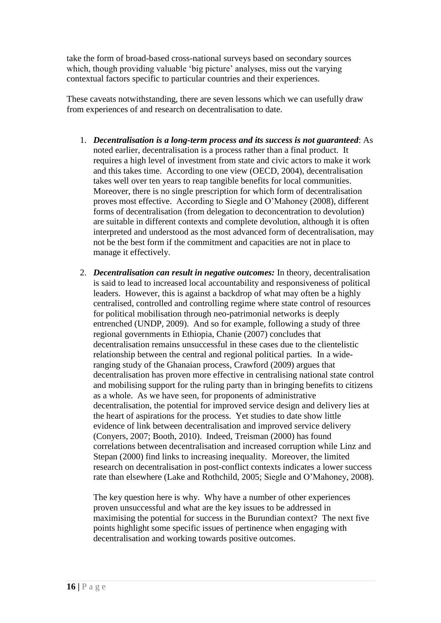take the form of broad-based cross-national surveys based on secondary sources which, though providing valuable 'big picture' analyses, miss out the varying contextual factors specific to particular countries and their experiences.

These caveats notwithstanding, there are seven lessons which we can usefully draw from experiences of and research on decentralisation to date.

- 1. *Decentralisation is a long-term process and its success is not guaranteed*: As noted earlier, decentralisation is a process rather than a final product. It requires a high level of investment from state and civic actors to make it work and this takes time. According to one view (OECD, 2004), decentralisation takes well over ten years to reap tangible benefits for local communities. Moreover, there is no single prescription for which form of decentralisation proves most effective. According to Siegle and O"Mahoney (2008), different forms of decentralisation (from delegation to deconcentration to devolution) are suitable in different contexts and complete devolution, although it is often interpreted and understood as the most advanced form of decentralisation, may not be the best form if the commitment and capacities are not in place to manage it effectively.
- 2. *Decentralisation can result in negative outcomes:* In theory, decentralisation is said to lead to increased local accountability and responsiveness of political leaders. However, this is against a backdrop of what may often be a highly centralised, controlled and controlling regime where state control of resources for political mobilisation through neo-patrimonial networks is deeply entrenched (UNDP, 2009). And so for example, following a study of three regional governments in Ethiopia, Chanie (2007) concludes that decentralisation remains unsuccessful in these cases due to the clientelistic relationship between the central and regional political parties. In a wideranging study of the Ghanaian process, Crawford (2009) argues that decentralisation has proven more effective in centralising national state control and mobilising support for the ruling party than in bringing benefits to citizens as a whole. As we have seen, for proponents of administrative decentralisation, the potential for improved service design and delivery lies at the heart of aspirations for the process. Yet studies to date show little evidence of link between decentralisation and improved service delivery (Conyers, 2007; Booth, 2010). Indeed, Treisman (2000) has found correlations between decentralisation and increased corruption while Linz and Stepan (2000) find links to increasing inequality. Moreover, the limited research on decentralisation in post-conflict contexts indicates a lower success rate than elsewhere (Lake and Rothchild, 2005; Siegle and O"Mahoney, 2008).

The key question here is why. Why have a number of other experiences proven unsuccessful and what are the key issues to be addressed in maximising the potential for success in the Burundian context? The next five points highlight some specific issues of pertinence when engaging with decentralisation and working towards positive outcomes.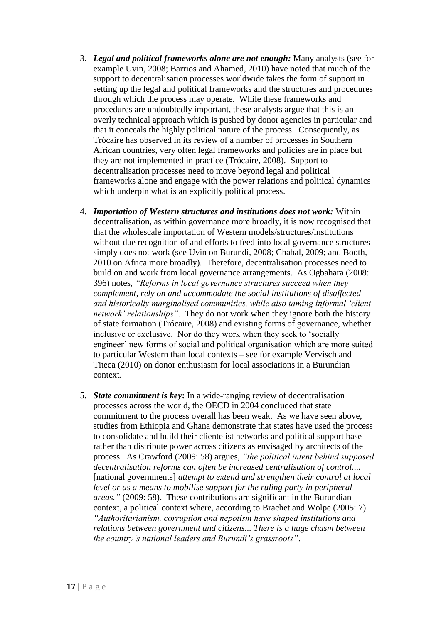- 3. *Legal and political frameworks alone are not enough:* Many analysts (see for example Uvin, 2008; Barrios and Ahamed, 2010) have noted that much of the support to decentralisation processes worldwide takes the form of support in setting up the legal and political frameworks and the structures and procedures through which the process may operate. While these frameworks and procedures are undoubtedly important, these analysts argue that this is an overly technical approach which is pushed by donor agencies in particular and that it conceals the highly political nature of the process. Consequently, as Trócaire has observed in its review of a number of processes in Southern African countries, very often legal frameworks and policies are in place but they are not implemented in practice (Trócaire, 2008). Support to decentralisation processes need to move beyond legal and political frameworks alone and engage with the power relations and political dynamics which underpin what is an explicitly political process.
- 4. *Importation of Western structures and institutions does not work:* Within decentralisation, as within governance more broadly, it is now recognised that that the wholescale importation of Western models/structures/institutions without due recognition of and efforts to feed into local governance structures simply does not work (see Uvin on Burundi, 2008; Chabal, 2009; and Booth, 2010 on Africa more broadly). Therefore, decentralisation processes need to build on and work from local governance arrangements. As Ogbahara (2008: 396) notes, *"Reforms in local governance structures succeed when they complement, rely on and accommodate the social institutions of disaffected and historically marginalised communities, while also taming informal "clientnetwork" relationships".* They do not work when they ignore both the history of state formation (Trócaire, 2008) and existing forms of governance, whether inclusive or exclusive. Nor do they work when they seek to "socially engineer' new forms of social and political organisation which are more suited to particular Western than local contexts – see for example Vervisch and Titeca (2010) on donor enthusiasm for local associations in a Burundian context.
- 5. *State commitment is key***:** In a wide-ranging review of decentralisation processes across the world, the OECD in 2004 concluded that state commitment to the process overall has been weak. As we have seen above, studies from Ethiopia and Ghana demonstrate that states have used the process to consolidate and build their clientelist networks and political support base rather than distribute power across citizens as envisaged by architects of the process. As Crawford (2009: 58) argues, *"the political intent behind supposed decentralisation reforms can often be increased centralisation of control....*  [national governments] *attempt to extend and strengthen their control at local*  level or as a means to mobilise support for the ruling party in peripheral *areas."* (2009: 58). These contributions are significant in the Burundian context, a political context where, according to Brachet and Wolpe (2005: 7) *"Authoritarianism, corruption and nepotism have shaped institutions and relations between government and citizens... There is a huge chasm between the country"s national leaders and Burundi"s grassroots"*.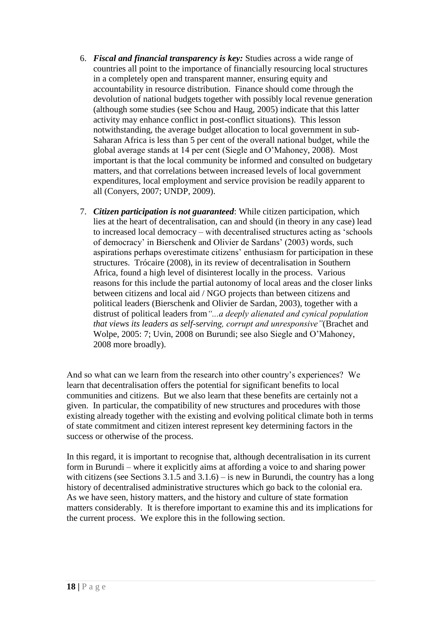- 6. *Fiscal and financial transparency is key:* Studies across a wide range of countries all point to the importance of financially resourcing local structures in a completely open and transparent manner, ensuring equity and accountability in resource distribution. Finance should come through the devolution of national budgets together with possibly local revenue generation (although some studies (see Schou and Haug, 2005) indicate that this latter activity may enhance conflict in post-conflict situations). This lesson notwithstanding, the average budget allocation to local government in sub-Saharan Africa is less than 5 per cent of the overall national budget, while the global average stands at 14 per cent (Siegle and O"Mahoney, 2008). Most important is that the local community be informed and consulted on budgetary matters, and that correlations between increased levels of local government expenditures, local employment and service provision be readily apparent to all (Conyers, 2007; UNDP, 2009).
- 7. *Citizen participation is not guaranteed*: While citizen participation, which lies at the heart of decentralisation, can and should (in theory in any case) lead to increased local democracy – with decentralised structures acting as "schools of democracy" in Bierschenk and Olivier de Sardans" (2003) words, such aspirations perhaps overestimate citizens" enthusiasm for participation in these structures. Trócaire (2008), in its review of decentralisation in Southern Africa, found a high level of disinterest locally in the process. Various reasons for this include the partial autonomy of local areas and the closer links between citizens and local aid / NGO projects than between citizens and political leaders (Bierschenk and Olivier de Sardan, 2003), together with a distrust of political leaders from*"...a deeply alienated and cynical population that views its leaders as self-serving, corrupt and unresponsive"*(Brachet and Wolpe, 2005: 7; Uvin, 2008 on Burundi; see also Siegle and O"Mahoney, 2008 more broadly).

And so what can we learn from the research into other country"s experiences? We learn that decentralisation offers the potential for significant benefits to local communities and citizens. But we also learn that these benefits are certainly not a given. In particular, the compatibility of new structures and procedures with those existing already together with the existing and evolving political climate both in terms of state commitment and citizen interest represent key determining factors in the success or otherwise of the process.

In this regard, it is important to recognise that, although decentralisation in its current form in Burundi – where it explicitly aims at affording a voice to and sharing power with citizens (see Sections  $3.1.5$  and  $3.1.6$ ) – is new in Burundi, the country has a long history of decentralised administrative structures which go back to the colonial era. As we have seen, history matters, and the history and culture of state formation matters considerably. It is therefore important to examine this and its implications for the current process. We explore this in the following section.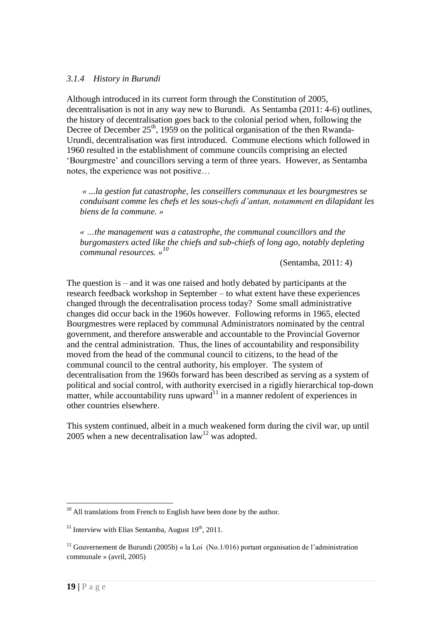#### *3.1.4 History in Burundi*

Although introduced in its current form through the Constitution of 2005, decentralisation is not in any way new to Burundi. As Sentamba (2011: 4-6) outlines, the history of decentralisation goes back to the colonial period when, following the Decree of December 25<sup>th</sup>, 1959 on the political organisation of the then Rwanda-Urundi, decentralisation was first introduced. Commune elections which followed in 1960 resulted in the establishment of commune councils comprising an elected "Bourgmestre" and councillors serving a term of three years. However, as Sentamba notes, the experience was not positive…

*« ...la gestion fut catastrophe, les conseillers communaux et les bourgmestres se conduisant comme les chefs et les sous-chefs d"antan, notamment en dilapidant les biens de la commune. »* 

*« …the management was a catastrophe, the communal councillors and the burgomasters acted like the chiefs and sub-chiefs of long ago, notably depleting communal resources. » 10*

(Sentamba, 2011: 4)

The question is – and it was one raised and hotly debated by participants at the research feedback workshop in September – to what extent have these experiences changed through the decentralisation process today? Some small administrative changes did occur back in the 1960s however. Following reforms in 1965, elected Bourgmestres were replaced by communal Administrators nominated by the central government, and therefore answerable and accountable to the Provincial Governor and the central administration. Thus, the lines of accountability and responsibility moved from the head of the communal council to citizens, to the head of the communal council to the central authority, his employer. The system of decentralisation from the 1960s forward has been described as serving as a system of political and social control, with authority exercised in a rigidly hierarchical top-down matter, while accountability runs upward<sup>11</sup> in a manner redolent of experiences in other countries elsewhere.

This system continued, albeit in a much weakened form during the civil war, up until 2005 when a new decentralisation  $law<sup>12</sup>$  was adopted.

<sup>&</sup>lt;sup>10</sup> All translations from French to English have been done by the author.

<sup>&</sup>lt;sup>11</sup> Interview with Elias Sentamba, August  $19<sup>th</sup>$ , 2011.

<sup>&</sup>lt;sup>12</sup> Gouvernement de Burundi (2005b) « la Loi (No.1/016) portant organisation de l'administration communale » (avril, 2005)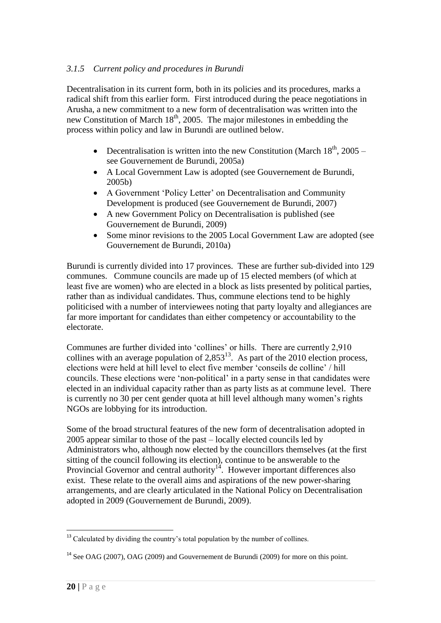## *3.1.5 Current policy and procedures in Burundi*

Decentralisation in its current form, both in its policies and its procedures, marks a radical shift from this earlier form. First introduced during the peace negotiations in Arusha, a new commitment to a new form of decentralisation was written into the new Constitution of March  $18<sup>th</sup>$ , 2005. The major milestones in embedding the process within policy and law in Burundi are outlined below.

- Decentralisation is written into the new Constitution (March  $18<sup>th</sup>$ , 2005 see Gouvernement de Burundi, 2005a)
- A Local Government Law is adopted (see Gouvernement de Burundi, 2005b)
- A Government 'Policy Letter' on Decentralisation and Community Development is produced (see Gouvernement de Burundi, 2007)
- A new Government Policy on Decentralisation is published (see Gouvernement de Burundi, 2009)
- Some minor revisions to the 2005 Local Government Law are adopted (see Gouvernement de Burundi, 2010a)

Burundi is currently divided into 17 provinces. These are further sub-divided into 129 communes. Commune councils are made up of 15 elected members (of which at least five are women) who are elected in a block as lists presented by political parties, rather than as individual candidates. Thus, commune elections tend to be highly politicised with a number of interviewees noting that party loyalty and allegiances are far more important for candidates than either competency or accountability to the electorate.

Communes are further divided into "collines" or hills. There are currently 2,910 collines with an average population of  $2,853^{13}$ . As part of the 2010 election process, elections were held at hill level to elect five member "conseils de colline" / hill councils. These elections were "non-political" in a party sense in that candidates were elected in an individual capacity rather than as party lists as at commune level. There is currently no 30 per cent gender quota at hill level although many women"s rights NGOs are lobbying for its introduction.

Some of the broad structural features of the new form of decentralisation adopted in 2005 appear similar to those of the past – locally elected councils led by Administrators who, although now elected by the councillors themselves (at the first sitting of the council following its election), continue to be answerable to the Provincial Governor and central authority $14$ . However important differences also exist. These relate to the overall aims and aspirations of the new power-sharing arrangements, and are clearly articulated in the National Policy on Decentralisation adopted in 2009 (Gouvernement de Burundi, 2009).

<sup>1</sup> <sup>13</sup> Calculated by dividing the country's total population by the number of collines.

<sup>&</sup>lt;sup>14</sup> See OAG (2007), OAG (2009) and Gouvernement de Burundi (2009) for more on this point.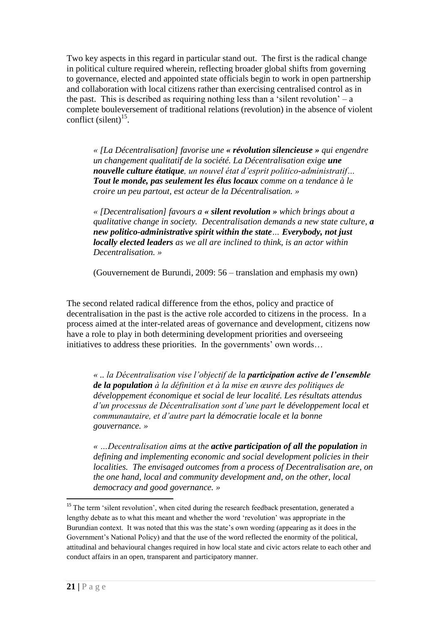Two key aspects in this regard in particular stand out. The first is the radical change in political culture required wherein, reflecting broader global shifts from governing to governance, elected and appointed state officials begin to work in open partnership and collaboration with local citizens rather than exercising centralised control as in the past. This is described as requiring nothing less than a 'silent revolution'  $-$  a complete bouleversement of traditional relations (revolution) in the absence of violent conflict  $(\text{silent})^{15}$ .

*« [La Décentralisation] favorise une « révolution silencieuse » qui engendre un changement qualitatif de la société. La Décentralisation exige une nouvelle culture étatique, un nouvel état d"esprit politico-administratif… Tout le monde, pas seulement les élus locaux comme on a tendance à le croire un peu partout, est acteur de la Décentralisation. »*

*« [Decentralisation] favours a « silent revolution » which brings about a qualitative change in society. Decentralisation demands a new state culture, a new politico-administrative spirit within the state… Everybody, not just locally elected leaders as we all are inclined to think, is an actor within Decentralisation. »*

(Gouvernement de Burundi, 2009: 56 – translation and emphasis my own)

The second related radical difference from the ethos, policy and practice of decentralisation in the past is the active role accorded to citizens in the process. In a process aimed at the inter-related areas of governance and development, citizens now have a role to play in both determining development priorities and overseeing initiatives to address these priorities. In the governments' own words...

*« .. la Décentralisation vise l"objectif de la participation active de l'ensemble de la population à la définition et à la mise en œuvre des politiques de développement économique et social de leur localité. Les résultats attendus d"un processus de Décentralisation sont d"une part le développement local et communautaire, et d"autre part la démocratie locale et la bonne gouvernance. »*

*« …Decentralisation aims at the active participation of all the population in defining and implementing economic and social development policies in their localities. The envisaged outcomes from a process of Decentralisation are, on the one hand, local and community development and, on the other, local democracy and good governance. »*

<u>.</u>

<sup>&</sup>lt;sup>15</sup> The term 'silent revolution', when cited during the research feedback presentation, generated a lengthy debate as to what this meant and whether the word "revolution" was appropriate in the Burundian context. It was noted that this was the state"s own wording (appearing as it does in the Government"s National Policy) and that the use of the word reflected the enormity of the political, attitudinal and behavioural changes required in how local state and civic actors relate to each other and conduct affairs in an open, transparent and participatory manner.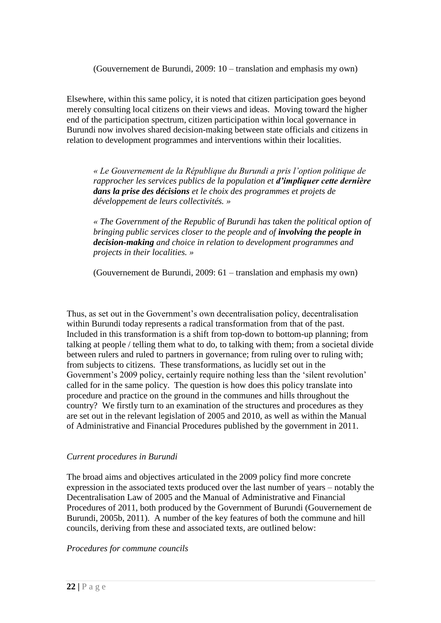(Gouvernement de Burundi, 2009: 10 – translation and emphasis my own)

Elsewhere, within this same policy, it is noted that citizen participation goes beyond merely consulting local citizens on their views and ideas. Moving toward the higher end of the participation spectrum, citizen participation within local governance in Burundi now involves shared decision-making between state officials and citizens in relation to development programmes and interventions within their localities.

*« Le Gouvernement de la République du Burundi a pris l"option politique de rapprocher les services publics de la population et d'impliquer cette dernière dans la prise des décisions et le choix des programmes et projets de développement de leurs collectivités. »*

*« The Government of the Republic of Burundi has taken the political option of bringing public services closer to the people and of involving the people in decision-making and choice in relation to development programmes and projects in their localities. »*

(Gouvernement de Burundi, 2009: 61 – translation and emphasis my own)

Thus, as set out in the Government's own decentralisation policy, decentralisation within Burundi today represents a radical transformation from that of the past. Included in this transformation is a shift from top-down to bottom-up planning; from talking at people / telling them what to do, to talking with them; from a societal divide between rulers and ruled to partners in governance; from ruling over to ruling with; from subjects to citizens. These transformations, as lucidly set out in the Government's 2009 policy, certainly require nothing less than the 'silent revolution' called for in the same policy. The question is how does this policy translate into procedure and practice on the ground in the communes and hills throughout the country? We firstly turn to an examination of the structures and procedures as they are set out in the relevant legislation of 2005 and 2010, as well as within the Manual of Administrative and Financial Procedures published by the government in 2011.

#### *Current procedures in Burundi*

The broad aims and objectives articulated in the 2009 policy find more concrete expression in the associated texts produced over the last number of years – notably the Decentralisation Law of 2005 and the Manual of Administrative and Financial Procedures of 2011, both produced by the Government of Burundi (Gouvernement de Burundi, 2005b, 2011). A number of the key features of both the commune and hill councils, deriving from these and associated texts, are outlined below:

*Procedures for commune councils*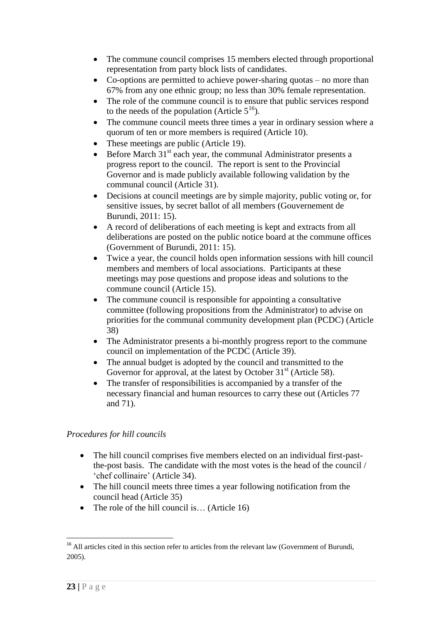- The commune council comprises 15 members elected through proportional representation from party block lists of candidates.
- Co-options are permitted to achieve power-sharing quotas no more than 67% from any one ethnic group; no less than 30% female representation.
- The role of the commune council is to ensure that public services respond to the needs of the population (Article  $5^{16}$ ).
- The commune council meets three times a year in ordinary session where a quorum of ten or more members is required (Article 10).
- These meetings are public (Article 19).
- $\bullet$  Before March 31<sup>st</sup> each year, the communal Administrator presents a progress report to the council. The report is sent to the Provincial Governor and is made publicly available following validation by the communal council (Article 31).
- Decisions at council meetings are by simple majority, public voting or, for sensitive issues, by secret ballot of all members (Gouvernement de Burundi, 2011: 15).
- A record of deliberations of each meeting is kept and extracts from all deliberations are posted on the public notice board at the commune offices (Government of Burundi, 2011: 15).
- Twice a year, the council holds open information sessions with hill council members and members of local associations. Participants at these meetings may pose questions and propose ideas and solutions to the commune council (Article 15).
- The commune council is responsible for appointing a consultative committee (following propositions from the Administrator) to advise on priorities for the communal community development plan (PCDC) (Article 38)
- The Administrator presents a bi-monthly progress report to the commune council on implementation of the PCDC (Article 39).
- The annual budget is adopted by the council and transmitted to the Governor for approval, at the latest by October  $31<sup>st</sup>$  (Article 58).
- The transfer of responsibilities is accompanied by a transfer of the necessary financial and human resources to carry these out (Articles 77 and 71).

## *Procedures for hill councils*

- The hill council comprises five members elected on an individual first-pastthe-post basis. The candidate with the most votes is the head of the council / "chef collinaire" (Article 34).
- The hill council meets three times a year following notification from the council head (Article 35)
- The role of the hill council is... (Article 16)

<u>.</u>

<sup>&</sup>lt;sup>16</sup> All articles cited in this section refer to articles from the relevant law (Government of Burundi, 2005).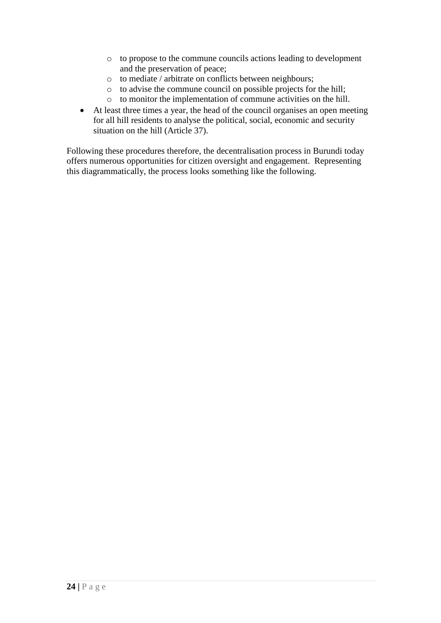- o to propose to the commune councils actions leading to development and the preservation of peace;
- o to mediate / arbitrate on conflicts between neighbours;
- o to advise the commune council on possible projects for the hill;
- o to monitor the implementation of commune activities on the hill.
- At least three times a year, the head of the council organises an open meeting for all hill residents to analyse the political, social, economic and security situation on the hill (Article 37).

Following these procedures therefore, the decentralisation process in Burundi today offers numerous opportunities for citizen oversight and engagement. Representing this diagrammatically, the process looks something like the following.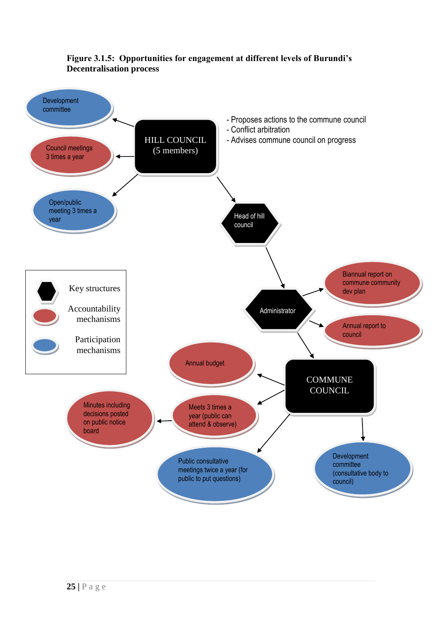

## **Figure 3.1.5: Opportunities for engagement at different levels of Burundi's Decentralisation process**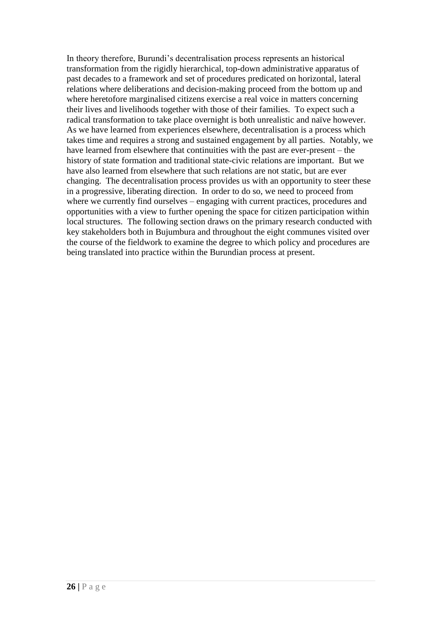In theory therefore, Burundi"s decentralisation process represents an historical transformation from the rigidly hierarchical, top-down administrative apparatus of past decades to a framework and set of procedures predicated on horizontal, lateral relations where deliberations and decision-making proceed from the bottom up and where heretofore marginalised citizens exercise a real voice in matters concerning their lives and livelihoods together with those of their families. To expect such a radical transformation to take place overnight is both unrealistic and naïve however. As we have learned from experiences elsewhere, decentralisation is a process which takes time and requires a strong and sustained engagement by all parties. Notably, we have learned from elsewhere that continuities with the past are ever-present – the history of state formation and traditional state-civic relations are important. But we have also learned from elsewhere that such relations are not static, but are ever changing. The decentralisation process provides us with an opportunity to steer these in a progressive, liberating direction. In order to do so, we need to proceed from where we currently find ourselves – engaging with current practices, procedures and opportunities with a view to further opening the space for citizen participation within local structures. The following section draws on the primary research conducted with key stakeholders both in Bujumbura and throughout the eight communes visited over the course of the fieldwork to examine the degree to which policy and procedures are being translated into practice within the Burundian process at present.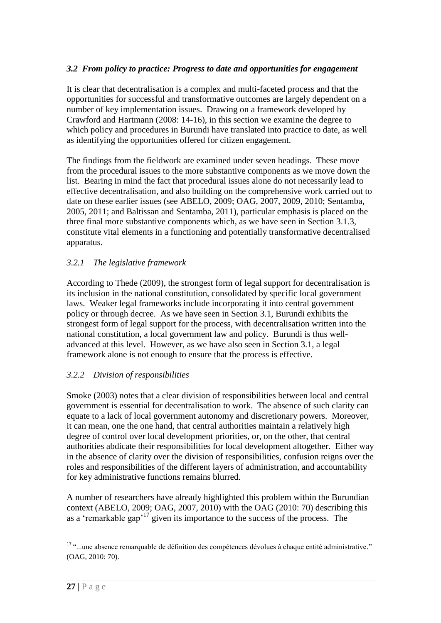### *3.2 From policy to practice: Progress to date and opportunities for engagement*

It is clear that decentralisation is a complex and multi-faceted process and that the opportunities for successful and transformative outcomes are largely dependent on a number of key implementation issues. Drawing on a framework developed by Crawford and Hartmann (2008: 14-16), in this section we examine the degree to which policy and procedures in Burundi have translated into practice to date, as well as identifying the opportunities offered for citizen engagement.

The findings from the fieldwork are examined under seven headings. These move from the procedural issues to the more substantive components as we move down the list. Bearing in mind the fact that procedural issues alone do not necessarily lead to effective decentralisation, and also building on the comprehensive work carried out to date on these earlier issues (see ABELO, 2009; OAG, 2007, 2009, 2010; Sentamba, 2005, 2011; and Baltissan and Sentamba, 2011), particular emphasis is placed on the three final more substantive components which, as we have seen in Section 3.1.3, constitute vital elements in a functioning and potentially transformative decentralised apparatus.

#### *3.2.1 The legislative framework*

According to Thede (2009), the strongest form of legal support for decentralisation is its inclusion in the national constitution, consolidated by specific local government laws. Weaker legal frameworks include incorporating it into central government policy or through decree. As we have seen in Section 3.1, Burundi exhibits the strongest form of legal support for the process, with decentralisation written into the national constitution, a local government law and policy. Burundi is thus welladvanced at this level. However, as we have also seen in Section 3.1, a legal framework alone is not enough to ensure that the process is effective.

#### *3.2.2 Division of responsibilities*

Smoke (2003) notes that a clear division of responsibilities between local and central government is essential for decentralisation to work. The absence of such clarity can equate to a lack of local government autonomy and discretionary powers. Moreover, it can mean, one the one hand, that central authorities maintain a relatively high degree of control over local development priorities, or, on the other, that central authorities abdicate their responsibilities for local development altogether. Either way in the absence of clarity over the division of responsibilities, confusion reigns over the roles and responsibilities of the different layers of administration, and accountability for key administrative functions remains blurred.

A number of researchers have already highlighted this problem within the Burundian context (ABELO, 2009; OAG, 2007, 2010) with the OAG (2010: 70) describing this as a 'remarkable gap'<sup>17</sup> given its importance to the success of the process. The

<u>.</u>

<sup>17</sup> "...une absence remarquable de définition des compétences dévolues à chaque entité administrative." (OAG, 2010: 70).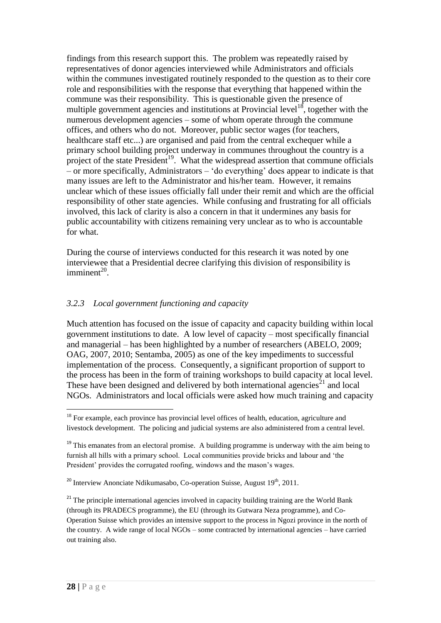findings from this research support this. The problem was repeatedly raised by representatives of donor agencies interviewed while Administrators and officials within the communes investigated routinely responded to the question as to their core role and responsibilities with the response that everything that happened within the commune was their responsibility. This is questionable given the presence of multiple government agencies and institutions at Provincial level<sup>18</sup>, together with the numerous development agencies – some of whom operate through the commune offices, and others who do not. Moreover, public sector wages (for teachers, healthcare staff etc...) are organised and paid from the central exchequer while a primary school building project underway in communes throughout the country is a project of the state President<sup>19</sup>. What the widespread assertion that commune officials – or more specifically, Administrators – "do everything" does appear to indicate is that many issues are left to the Administrator and his/her team. However, it remains unclear which of these issues officially fall under their remit and which are the official responsibility of other state agencies. While confusing and frustrating for all officials involved, this lack of clarity is also a concern in that it undermines any basis for public accountability with citizens remaining very unclear as to who is accountable for what.

During the course of interviews conducted for this research it was noted by one interviewee that a Presidential decree clarifying this division of responsibility is  $imminent<sup>20</sup>$ .

### *3.2.3 Local government functioning and capacity*

Much attention has focused on the issue of capacity and capacity building within local government institutions to date. A low level of capacity – most specifically financial and managerial – has been highlighted by a number of researchers (ABELO, 2009; OAG, 2007, 2010; Sentamba, 2005) as one of the key impediments to successful implementation of the process. Consequently, a significant proportion of support to the process has been in the form of training workshops to build capacity at local level. These have been designed and delivered by both international agencies<sup>21</sup> and local NGOs. Administrators and local officials were asked how much training and capacity

<sup>&</sup>lt;sup>18</sup> For example, each province has provincial level offices of health, education, agriculture and livestock development. The policing and judicial systems are also administered from a central level.

 $19$ <sup>19</sup> This emanates from an electoral promise. A building programme is underway with the aim being to furnish all hills with a primary school. Local communities provide bricks and labour and "the President' provides the corrugated roofing, windows and the mason's wages.

 $20$  Interview Anonciate Ndikumasabo, Co-operation Suisse, August  $19<sup>th</sup>$ , 2011.

 $21$ <sup>21</sup> The principle international agencies involved in capacity building training are the World Bank (through its PRADECS programme), the EU (through its Gutwara Neza programme), and Co-Operation Suisse which provides an intensive support to the process in Ngozi province in the north of the country. A wide range of local NGOs – some contracted by international agencies – have carried out training also.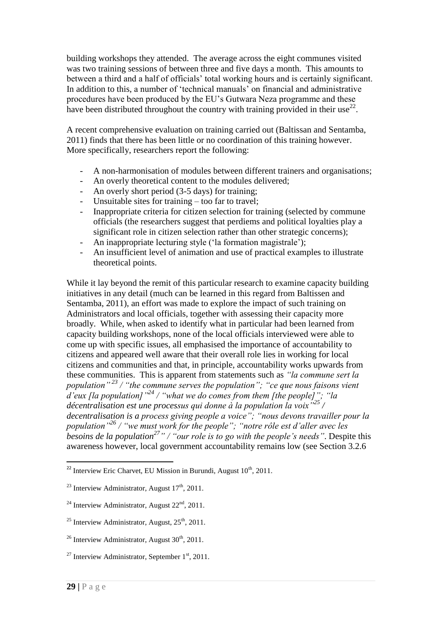building workshops they attended. The average across the eight communes visited was two training sessions of between three and five days a month. This amounts to between a third and a half of officials" total working hours and is certainly significant. In addition to this, a number of "technical manuals" on financial and administrative procedures have been produced by the EU"s Gutwara Neza programme and these have been distributed throughout the country with training provided in their use<sup>22</sup>.

A recent comprehensive evaluation on training carried out (Baltissan and Sentamba, 2011) finds that there has been little or no coordination of this training however. More specifically, researchers report the following:

- A non-harmonisation of modules between different trainers and organisations;
- An overly theoretical content to the modules delivered;
- An overly short period (3-5 days) for training;
- Unsuitable sites for training too far to travel;
- Inappropriate criteria for citizen selection for training (selected by commune officials (the researchers suggest that perdiems and political loyalties play a significant role in citizen selection rather than other strategic concerns);
- An inappropriate lecturing style ('la formation magistrale');
- An insufficient level of animation and use of practical examples to illustrate theoretical points.

While it lay beyond the remit of this particular research to examine capacity building initiatives in any detail (much can be learned in this regard from Baltissen and Sentamba, 2011), an effort was made to explore the impact of such training on Administrators and local officials, together with assessing their capacity more broadly. While, when asked to identify what in particular had been learned from capacity building workshops, none of the local officials interviewed were able to come up with specific issues, all emphasised the importance of accountability to citizens and appeared well aware that their overall role lies in working for local citizens and communities and that, in principle, accountability works upwards from these communities. This is apparent from statements such as *"la commune sert la population" <sup>23</sup> / "the commune serves the population"; "ce que nous faisons vient d"eux [la population]"<sup>24</sup> / "what we do comes from them [the people]"; "la décentralisation est une processus qui donne à la population la voix"<sup>25</sup> / decentralisation is a process giving people a voice"; "nous devons travailler pour la population"<sup>26</sup> / "we must work for the people"; "notre rôle est d"aller avec les besoins de la population<sup>27</sup>" / "our role is to go with the people"s needs"*. Despite this awareness however, local government accountability remains low (see Section 3.2.6

<sup>&</sup>lt;sup>22</sup> Interview Eric Charvet, EU Mission in Burundi, August  $10^{th}$ , 2011.

<sup>&</sup>lt;sup>23</sup> Interview Administrator, August  $17<sup>th</sup>$ , 2011.

<sup>&</sup>lt;sup>24</sup> Interview Administrator, August  $22<sup>nd</sup>$ , 2011.

<sup>&</sup>lt;sup>25</sup> Interview Administrator, August,  $25<sup>th</sup>$ , 2011.

<sup>&</sup>lt;sup>26</sup> Interview Administrator, August  $30<sup>th</sup>$ , 2011.

<sup>&</sup>lt;sup>27</sup> Interview Administrator, September  $1<sup>st</sup>$ , 2011.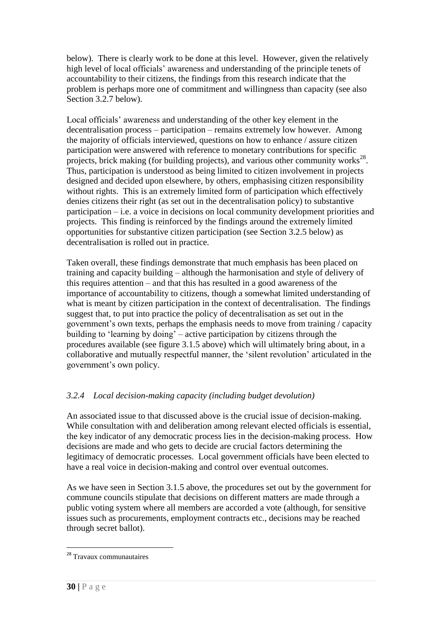below). There is clearly work to be done at this level. However, given the relatively high level of local officials" awareness and understanding of the principle tenets of accountability to their citizens, the findings from this research indicate that the problem is perhaps more one of commitment and willingness than capacity (see also Section 3.2.7 below).

Local officials" awareness and understanding of the other key element in the decentralisation process – participation – remains extremely low however. Among the majority of officials interviewed, questions on how to enhance / assure citizen participation were answered with reference to monetary contributions for specific projects, brick making (for building projects), and various other community works<sup>28</sup>. Thus, participation is understood as being limited to citizen involvement in projects designed and decided upon elsewhere, by others, emphasising citizen responsibility without rights. This is an extremely limited form of participation which effectively denies citizens their right (as set out in the decentralisation policy) to substantive participation – i.e. a voice in decisions on local community development priorities and projects. This finding is reinforced by the findings around the extremely limited opportunities for substantive citizen participation (see Section 3.2.5 below) as decentralisation is rolled out in practice.

Taken overall, these findings demonstrate that much emphasis has been placed on training and capacity building – although the harmonisation and style of delivery of this requires attention – and that this has resulted in a good awareness of the importance of accountability to citizens, though a somewhat limited understanding of what is meant by citizen participation in the context of decentralisation. The findings suggest that, to put into practice the policy of decentralisation as set out in the government's own texts, perhaps the emphasis needs to move from training / capacity building to "learning by doing" – active participation by citizens through the procedures available (see figure 3.1.5 above) which will ultimately bring about, in a collaborative and mutually respectful manner, the "silent revolution" articulated in the government"s own policy.

## *3.2.4 Local decision-making capacity (including budget devolution)*

An associated issue to that discussed above is the crucial issue of decision-making. While consultation with and deliberation among relevant elected officials is essential, the key indicator of any democratic process lies in the decision-making process. How decisions are made and who gets to decide are crucial factors determining the legitimacy of democratic processes. Local government officials have been elected to have a real voice in decision-making and control over eventual outcomes.

As we have seen in Section 3.1.5 above, the procedures set out by the government for commune councils stipulate that decisions on different matters are made through a public voting system where all members are accorded a vote (although, for sensitive issues such as procurements, employment contracts etc., decisions may be reached through secret ballot).

<sup>&</sup>lt;sup>28</sup> Travaux communautaires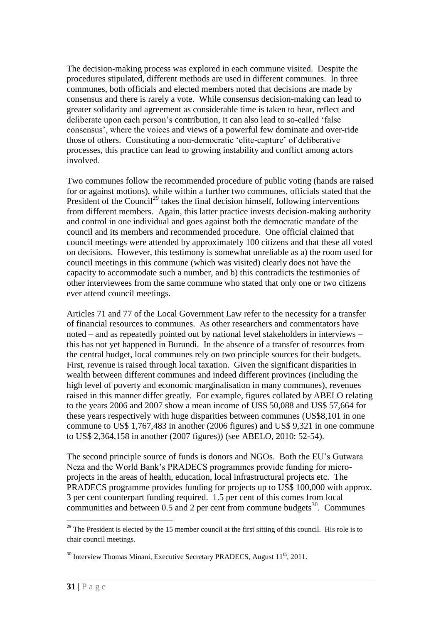The decision-making process was explored in each commune visited. Despite the procedures stipulated, different methods are used in different communes. In three communes, both officials and elected members noted that decisions are made by consensus and there is rarely a vote. While consensus decision-making can lead to greater solidarity and agreement as considerable time is taken to hear, reflect and deliberate upon each person"s contribution, it can also lead to so-called "false consensus", where the voices and views of a powerful few dominate and over-ride those of others. Constituting a non-democratic "elite-capture" of deliberative processes, this practice can lead to growing instability and conflict among actors involved.

Two communes follow the recommended procedure of public voting (hands are raised for or against motions), while within a further two communes, officials stated that the President of the Council<sup>29</sup> takes the final decision himself, following interventions from different members. Again, this latter practice invests decision-making authority and control in one individual and goes against both the democratic mandate of the council and its members and recommended procedure. One official claimed that council meetings were attended by approximately 100 citizens and that these all voted on decisions. However, this testimony is somewhat unreliable as a) the room used for council meetings in this commune (which was visited) clearly does not have the capacity to accommodate such a number, and b) this contradicts the testimonies of other interviewees from the same commune who stated that only one or two citizens ever attend council meetings.

Articles 71 and 77 of the Local Government Law refer to the necessity for a transfer of financial resources to communes. As other researchers and commentators have noted – and as repeatedly pointed out by national level stakeholders in interviews – this has not yet happened in Burundi. In the absence of a transfer of resources from the central budget, local communes rely on two principle sources for their budgets. First, revenue is raised through local taxation. Given the significant disparities in wealth between different communes and indeed different provinces (including the high level of poverty and economic marginalisation in many communes), revenues raised in this manner differ greatly. For example, figures collated by ABELO relating to the years 2006 and 2007 show a mean income of US\$ 50,088 and US\$ 57,664 for these years respectively with huge disparities between communes (US\$8,101 in one commune to US\$ 1,767,483 in another (2006 figures) and US\$ 9,321 in one commune to US\$ 2,364,158 in another (2007 figures)) (see ABELO, 2010: 52-54).

The second principle source of funds is donors and NGOs. Both the EU"s Gutwara Neza and the World Bank"s PRADECS programmes provide funding for microprojects in the areas of health, education, local infrastructural projects etc. The PRADECS programme provides funding for projects up to US\$ 100,000 with approx. 3 per cent counterpart funding required. 1.5 per cent of this comes from local communities and between  $0.5$  and 2 per cent from commune budgets<sup>30</sup>. Communes

<sup>&</sup>lt;sup>29</sup> The President is elected by the 15 member council at the first sitting of this council. His role is to chair council meetings.

 $30$  Interview Thomas Minani, Executive Secretary PRADECS, August  $11<sup>th</sup>$ , 2011.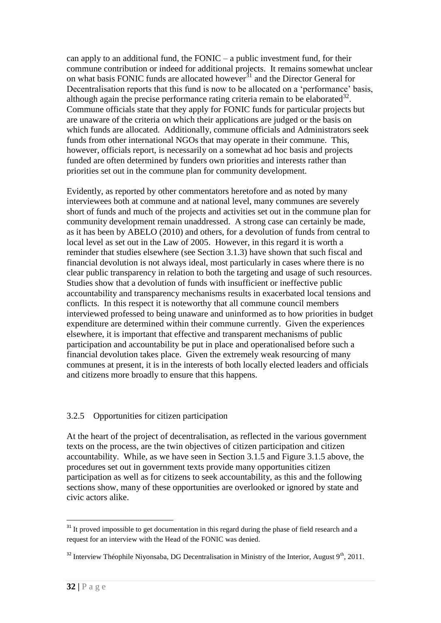can apply to an additional fund, the FONIC – a public investment fund, for their commune contribution or indeed for additional projects. It remains somewhat unclear on what basis FONIC funds are allocated however<sup>31</sup> and the Director General for Decentralisation reports that this fund is now to be allocated on a "performance" basis, although again the precise performance rating criteria remain to be elaborated $^{32}$ . Commune officials state that they apply for FONIC funds for particular projects but are unaware of the criteria on which their applications are judged or the basis on which funds are allocated. Additionally, commune officials and Administrators seek funds from other international NGOs that may operate in their commune. This, however, officials report, is necessarily on a somewhat ad hoc basis and projects funded are often determined by funders own priorities and interests rather than priorities set out in the commune plan for community development.

Evidently, as reported by other commentators heretofore and as noted by many interviewees both at commune and at national level, many communes are severely short of funds and much of the projects and activities set out in the commune plan for community development remain unaddressed. A strong case can certainly be made, as it has been by ABELO (2010) and others, for a devolution of funds from central to local level as set out in the Law of 2005. However, in this regard it is worth a reminder that studies elsewhere (see Section 3.1.3) have shown that such fiscal and financial devolution is not always ideal, most particularly in cases where there is no clear public transparency in relation to both the targeting and usage of such resources. Studies show that a devolution of funds with insufficient or ineffective public accountability and transparency mechanisms results in exacerbated local tensions and conflicts. In this respect it is noteworthy that all commune council members interviewed professed to being unaware and uninformed as to how priorities in budget expenditure are determined within their commune currently. Given the experiences elsewhere, it is important that effective and transparent mechanisms of public participation and accountability be put in place and operationalised before such a financial devolution takes place. Given the extremely weak resourcing of many communes at present, it is in the interests of both locally elected leaders and officials and citizens more broadly to ensure that this happens.

## 3.2.5 Opportunities for citizen participation

At the heart of the project of decentralisation, as reflected in the various government texts on the process, are the twin objectives of citizen participation and citizen accountability. While, as we have seen in Section 3.1.5 and Figure 3.1.5 above, the procedures set out in government texts provide many opportunities citizen participation as well as for citizens to seek accountability, as this and the following sections show, many of these opportunities are overlooked or ignored by state and civic actors alike.

 $31$  It proved impossible to get documentation in this regard during the phase of field research and a request for an interview with the Head of the FONIC was denied.

 $32$  Interview Théophile Niyonsaba, DG Decentralisation in Ministry of the Interior, August 9<sup>th</sup>, 2011.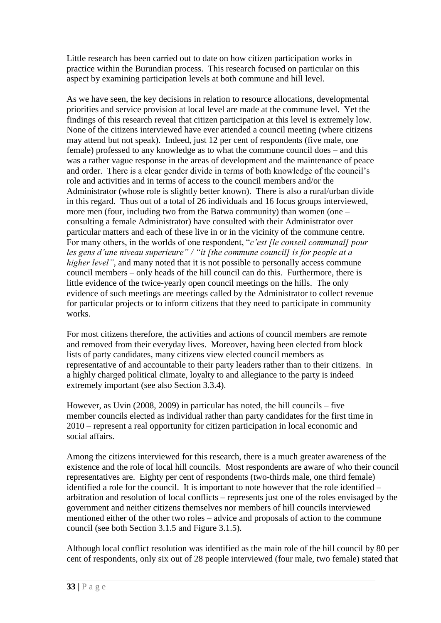Little research has been carried out to date on how citizen participation works in practice within the Burundian process. This research focused on particular on this aspect by examining participation levels at both commune and hill level.

As we have seen, the key decisions in relation to resource allocations, developmental priorities and service provision at local level are made at the commune level. Yet the findings of this research reveal that citizen participation at this level is extremely low. None of the citizens interviewed have ever attended a council meeting (where citizens may attend but not speak). Indeed, just 12 per cent of respondents (five male, one female) professed to any knowledge as to what the commune council does – and this was a rather vague response in the areas of development and the maintenance of peace and order. There is a clear gender divide in terms of both knowledge of the council"s role and activities and in terms of access to the council members and/or the Administrator (whose role is slightly better known). There is also a rural/urban divide in this regard. Thus out of a total of 26 individuals and 16 focus groups interviewed, more men (four, including two from the Batwa community) than women (one – consulting a female Administrator) have consulted with their Administrator over particular matters and each of these live in or in the vicinity of the commune centre. For many others, in the worlds of one respondent, "*c"est [le conseil communal] pour les gens d"une niveau superieure" / "it [the commune council] is for people at a higher level"*, and many noted that it is not possible to personally access commune council members – only heads of the hill council can do this. Furthermore, there is little evidence of the twice-yearly open council meetings on the hills. The only evidence of such meetings are meetings called by the Administrator to collect revenue for particular projects or to inform citizens that they need to participate in community works.

For most citizens therefore, the activities and actions of council members are remote and removed from their everyday lives. Moreover, having been elected from block lists of party candidates, many citizens view elected council members as representative of and accountable to their party leaders rather than to their citizens. In a highly charged political climate, loyalty to and allegiance to the party is indeed extremely important (see also Section 3.3.4).

However, as Uvin (2008, 2009) in particular has noted, the hill councils – five member councils elected as individual rather than party candidates for the first time in 2010 – represent a real opportunity for citizen participation in local economic and social affairs.

Among the citizens interviewed for this research, there is a much greater awareness of the existence and the role of local hill councils. Most respondents are aware of who their council representatives are. Eighty per cent of respondents (two-thirds male, one third female) identified a role for the council. It is important to note however that the role identified – arbitration and resolution of local conflicts – represents just one of the roles envisaged by the government and neither citizens themselves nor members of hill councils interviewed mentioned either of the other two roles – advice and proposals of action to the commune council (see both Section 3.1.5 and Figure 3.1.5).

Although local conflict resolution was identified as the main role of the hill council by 80 per cent of respondents, only six out of 28 people interviewed (four male, two female) stated that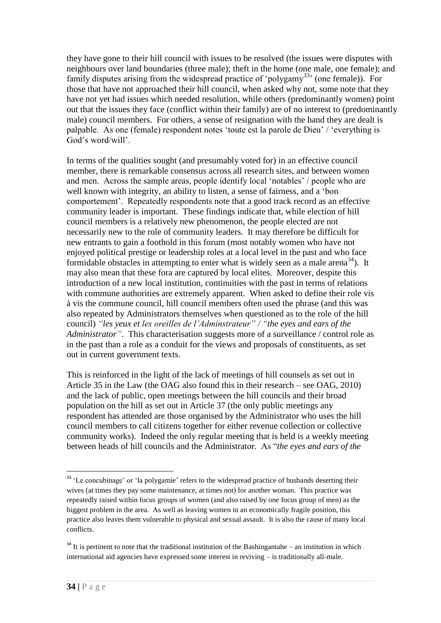they have gone to their hill council with issues to be resolved (the issues were disputes with neighbours over land boundaries (three male); theft in the home (one male, one female); and family disputes arising from the widespread practice of 'polygamy<sup>33</sup>' (one female)). For those that have not approached their hill council, when asked why not, some note that they have not yet had issues which needed resolution, while others (predominantly women) point out that the issues they face (conflict within their family) are of no interest to (predominantly male) council members. For others, a sense of resignation with the hand they are dealt is palpable. As one (female) respondent notes "toute est la parole de Dieu" / "everything is God's word/will'.

In terms of the qualities sought (and presumably voted for) in an effective council member, there is remarkable consensus across all research sites, and between women and men. Across the sample areas, people identify local "notables" / people who are well known with integrity, an ability to listen, a sense of fairness, and a "bon comportement". Repeatedly respondents note that a good track record as an effective community leader is important. These findings indicate that, while election of hill council members is a relatively new phenomenon, the people elected are not necessarily new to the role of community leaders. It may therefore be difficult for new entrants to gain a foothold in this forum (most notably women who have not enjoyed political prestige or leadership roles at a local level in the past and who face formidable obstacles in attempting to enter what is widely seen as a male arena<sup>34</sup>). It may also mean that these fora are captured by local elites. Moreover, despite this introduction of a new local institution, continuities with the past in terms of relations with commune authorities are extremely apparent. When asked to define their role vis à vis the commune council, hill council members often used the phrase (and this was also repeated by Administrators themselves when questioned as to the role of the hill council) *"les yeux et les oreilles de l"Adminstrateur" / "the eyes and ears of the Administrator"*. This characterisation suggests more of a surveillance / control role as in the past than a role as a conduit for the views and proposals of constituents, as set out in current government texts.

This is reinforced in the light of the lack of meetings of hill counsels as set out in Article 35 in the Law (the OAG also found this in their research – see OAG, 2010) and the lack of public, open meetings between the hill councils and their broad population on the hill as set out in Article 37 (the only public meetings any respondent has attended are those organised by the Administrator who uses the hill council members to call citizens together for either revenue collection or collective community works). Indeed the only regular meeting that is held is a weekly meeting between heads of hill councils and the Administrator. As "*the eyes and ears of the* 

<u>.</u>

<sup>&</sup>lt;sup>33</sup> 'Le concubinage' or 'la polygamie' refers to the widespread practice of husbands deserting their wives (at times they pay some maintenance, at times not) for another woman. This practice was repeatedly raised within focus groups of women (and also raised by one focus group of men) as the biggest problem in the area. As well as leaving women in an economically fragile position, this practice also leaves them vulnerable to physical and sexual assault. It is also the cause of many local conflicts.

 $34$  It is pertinent to note that the traditional institution of the Bashingantahe – an institution in which international aid agencies have expressed some interest in reviving – is traditionally all-male.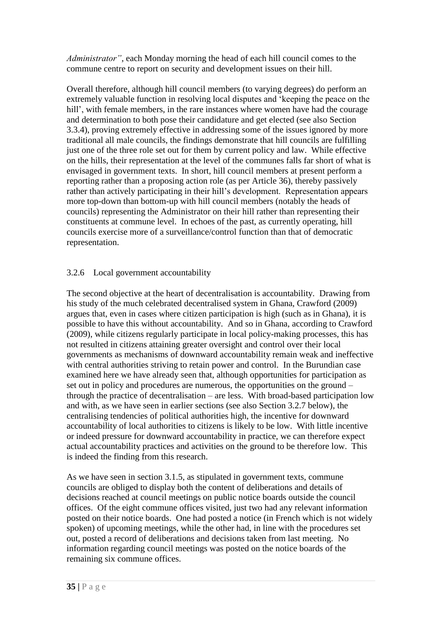*Administrator"*, each Monday morning the head of each hill council comes to the commune centre to report on security and development issues on their hill.

Overall therefore, although hill council members (to varying degrees) do perform an extremely valuable function in resolving local disputes and "keeping the peace on the hill', with female members, in the rare instances where women have had the courage and determination to both pose their candidature and get elected (see also Section 3.3.4), proving extremely effective in addressing some of the issues ignored by more traditional all male councils, the findings demonstrate that hill councils are fulfilling just one of the three role set out for them by current policy and law. While effective on the hills, their representation at the level of the communes falls far short of what is envisaged in government texts. In short, hill council members at present perform a reporting rather than a proposing action role (as per Article 36), thereby passively rather than actively participating in their hill"s development. Representation appears more top-down than bottom-up with hill council members (notably the heads of councils) representing the Administrator on their hill rather than representing their constituents at commune level. In echoes of the past, as currently operating, hill councils exercise more of a surveillance/control function than that of democratic representation.

## 3.2.6 Local government accountability

The second objective at the heart of decentralisation is accountability. Drawing from his study of the much celebrated decentralised system in Ghana, Crawford (2009) argues that, even in cases where citizen participation is high (such as in Ghana), it is possible to have this without accountability. And so in Ghana, according to Crawford (2009), while citizens regularly participate in local policy-making processes, this has not resulted in citizens attaining greater oversight and control over their local governments as mechanisms of downward accountability remain weak and ineffective with central authorities striving to retain power and control. In the Burundian case examined here we have already seen that, although opportunities for participation as set out in policy and procedures are numerous, the opportunities on the ground – through the practice of decentralisation – are less. With broad-based participation low and with, as we have seen in earlier sections (see also Section 3.2.7 below), the centralising tendencies of political authorities high, the incentive for downward accountability of local authorities to citizens is likely to be low. With little incentive or indeed pressure for downward accountability in practice, we can therefore expect actual accountability practices and activities on the ground to be therefore low. This is indeed the finding from this research.

As we have seen in section 3.1.5, as stipulated in government texts, commune councils are obliged to display both the content of deliberations and details of decisions reached at council meetings on public notice boards outside the council offices. Of the eight commune offices visited, just two had any relevant information posted on their notice boards. One had posted a notice (in French which is not widely spoken) of upcoming meetings, while the other had, in line with the procedures set out, posted a record of deliberations and decisions taken from last meeting. No information regarding council meetings was posted on the notice boards of the remaining six commune offices.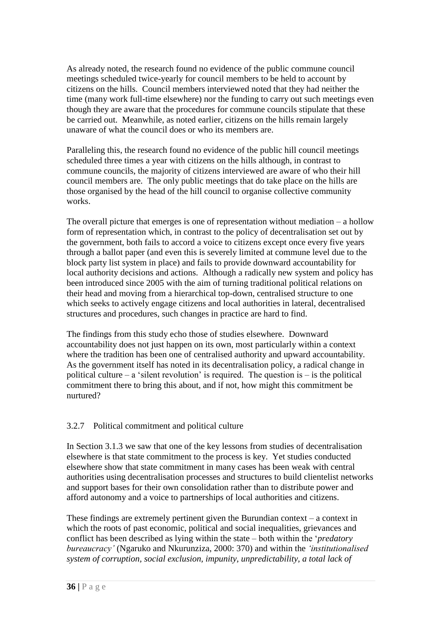As already noted, the research found no evidence of the public commune council meetings scheduled twice-yearly for council members to be held to account by citizens on the hills. Council members interviewed noted that they had neither the time (many work full-time elsewhere) nor the funding to carry out such meetings even though they are aware that the procedures for commune councils stipulate that these be carried out. Meanwhile, as noted earlier, citizens on the hills remain largely unaware of what the council does or who its members are.

Paralleling this, the research found no evidence of the public hill council meetings scheduled three times a year with citizens on the hills although, in contrast to commune councils, the majority of citizens interviewed are aware of who their hill council members are. The only public meetings that do take place on the hills are those organised by the head of the hill council to organise collective community works.

The overall picture that emerges is one of representation without mediation – a hollow form of representation which, in contrast to the policy of decentralisation set out by the government, both fails to accord a voice to citizens except once every five years through a ballot paper (and even this is severely limited at commune level due to the block party list system in place) and fails to provide downward accountability for local authority decisions and actions. Although a radically new system and policy has been introduced since 2005 with the aim of turning traditional political relations on their head and moving from a hierarchical top-down, centralised structure to one which seeks to actively engage citizens and local authorities in lateral, decentralised structures and procedures, such changes in practice are hard to find.

The findings from this study echo those of studies elsewhere. Downward accountability does not just happen on its own, most particularly within a context where the tradition has been one of centralised authority and upward accountability. As the government itself has noted in its decentralisation policy, a radical change in political culture – a 'silent revolution' is required. The question is – is the political commitment there to bring this about, and if not, how might this commitment be nurtured?

## 3.2.7 Political commitment and political culture

In Section 3.1.3 we saw that one of the key lessons from studies of decentralisation elsewhere is that state commitment to the process is key. Yet studies conducted elsewhere show that state commitment in many cases has been weak with central authorities using decentralisation processes and structures to build clientelist networks and support bases for their own consolidation rather than to distribute power and afford autonomy and a voice to partnerships of local authorities and citizens.

These findings are extremely pertinent given the Burundian context – a context in which the roots of past economic, political and social inequalities, grievances and conflict has been described as lying within the state – both within the *'predatory bureaucracy"* (Ngaruko and Nkurunziza, 2000: 370) and within the *"institutionalised system of corruption, social exclusion, impunity, unpredictability, a total lack of*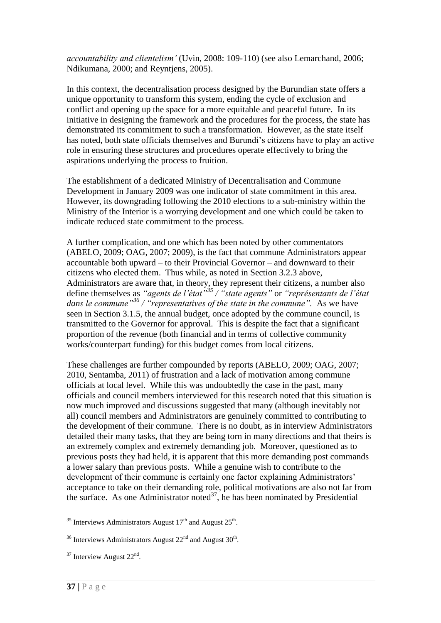*accountability and clientelism"* (Uvin, 2008: 109-110) (see also Lemarchand, 2006; Ndikumana, 2000; and Reyntjens, 2005).

In this context, the decentralisation process designed by the Burundian state offers a unique opportunity to transform this system, ending the cycle of exclusion and conflict and opening up the space for a more equitable and peaceful future. In its initiative in designing the framework and the procedures for the process, the state has demonstrated its commitment to such a transformation. However, as the state itself has noted, both state officials themselves and Burundi"s citizens have to play an active role in ensuring these structures and procedures operate effectively to bring the aspirations underlying the process to fruition.

The establishment of a dedicated Ministry of Decentralisation and Commune Development in January 2009 was one indicator of state commitment in this area. However, its downgrading following the 2010 elections to a sub-ministry within the Ministry of the Interior is a worrying development and one which could be taken to indicate reduced state commitment to the process.

A further complication, and one which has been noted by other commentators (ABELO, 2009; OAG, 2007; 2009), is the fact that commune Administrators appear accountable both upward – to their Provincial Governor – and downward to their citizens who elected them. Thus while, as noted in Section 3.2.3 above, Administrators are aware that, in theory, they represent their citizens, a number also define themselves as *"agents de l"état"<sup>35</sup> / "state agents"* or *"représentants de l"état dans le commune"<sup>36</sup> / "representatives of the state in the commune".* As we have seen in Section 3.1.5, the annual budget, once adopted by the commune council, is transmitted to the Governor for approval. This is despite the fact that a significant proportion of the revenue (both financial and in terms of collective community works/counterpart funding) for this budget comes from local citizens.

These challenges are further compounded by reports (ABELO, 2009; OAG, 2007; 2010, Sentamba, 2011) of frustration and a lack of motivation among commune officials at local level. While this was undoubtedly the case in the past, many officials and council members interviewed for this research noted that this situation is now much improved and discussions suggested that many (although inevitably not all) council members and Administrators are genuinely committed to contributing to the development of their commune. There is no doubt, as in interview Administrators detailed their many tasks, that they are being torn in many directions and that theirs is an extremely complex and extremely demanding job. Moreover, questioned as to previous posts they had held, it is apparent that this more demanding post commands a lower salary than previous posts. While a genuine wish to contribute to the development of their commune is certainly one factor explaining Administrators' acceptance to take on their demanding role, political motivations are also not far from the surface. As one Administrator noted $^{37}$ , he has been nominated by Presidential

<sup>&</sup>lt;sup>35</sup> Interviews Administrators August  $17<sup>th</sup>$  and August  $25<sup>th</sup>$ .

<sup>&</sup>lt;sup>36</sup> Interviews Administrators August  $22<sup>nd</sup>$  and August  $30<sup>th</sup>$ .

 $37$  Interview August  $22<sup>nd</sup>$ .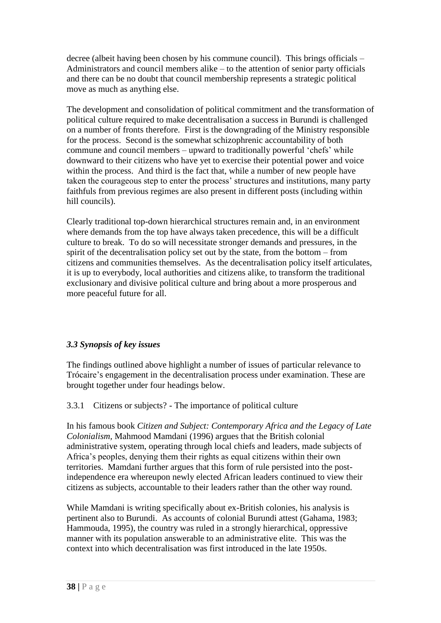decree (albeit having been chosen by his commune council). This brings officials – Administrators and council members alike – to the attention of senior party officials and there can be no doubt that council membership represents a strategic political move as much as anything else.

The development and consolidation of political commitment and the transformation of political culture required to make decentralisation a success in Burundi is challenged on a number of fronts therefore. First is the downgrading of the Ministry responsible for the process. Second is the somewhat schizophrenic accountability of both commune and council members – upward to traditionally powerful "chefs" while downward to their citizens who have yet to exercise their potential power and voice within the process. And third is the fact that, while a number of new people have taken the courageous step to enter the process' structures and institutions, many party faithfuls from previous regimes are also present in different posts (including within hill councils).

Clearly traditional top-down hierarchical structures remain and, in an environment where demands from the top have always taken precedence, this will be a difficult culture to break. To do so will necessitate stronger demands and pressures, in the spirit of the decentralisation policy set out by the state, from the bottom – from citizens and communities themselves. As the decentralisation policy itself articulates, it is up to everybody, local authorities and citizens alike, to transform the traditional exclusionary and divisive political culture and bring about a more prosperous and more peaceful future for all.

## *3.3 Synopsis of key issues*

The findings outlined above highlight a number of issues of particular relevance to Trócaire"s engagement in the decentralisation process under examination. These are brought together under four headings below.

3.3.1 Citizens or subjects? - The importance of political culture

In his famous book *Citizen and Subject: Contemporary Africa and the Legacy of Late Colonialism,* Mahmood Mamdani (1996) argues that the British colonial administrative system, operating through local chiefs and leaders, made subjects of Africa"s peoples, denying them their rights as equal citizens within their own territories.Mamdani further argues that this form of rule persisted into the postindependence era whereupon newly elected African leaders continued to view their citizens as subjects, accountable to their leaders rather than the other way round.

While Mamdani is writing specifically about ex-British colonies, his analysis is pertinent also to Burundi. As accounts of colonial Burundi attest (Gahama, 1983; Hammouda, 1995), the country was ruled in a strongly hierarchical, oppressive manner with its population answerable to an administrative elite. This was the context into which decentralisation was first introduced in the late 1950s.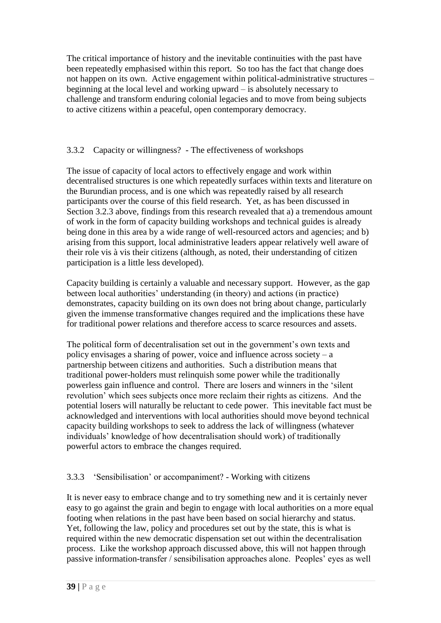The critical importance of history and the inevitable continuities with the past have been repeatedly emphasised within this report. So too has the fact that change does not happen on its own. Active engagement within political-administrative structures – beginning at the local level and working upward  $-\overline{\text{is}}$  absolutely necessary to challenge and transform enduring colonial legacies and to move from being subjects to active citizens within a peaceful, open contemporary democracy.

## 3.3.2 Capacity or willingness? - The effectiveness of workshops

The issue of capacity of local actors to effectively engage and work within decentralised structures is one which repeatedly surfaces within texts and literature on the Burundian process, and is one which was repeatedly raised by all research participants over the course of this field research. Yet, as has been discussed in Section 3.2.3 above, findings from this research revealed that a) a tremendous amount of work in the form of capacity building workshops and technical guides is already being done in this area by a wide range of well-resourced actors and agencies; and b) arising from this support, local administrative leaders appear relatively well aware of their role vis à vis their citizens (although, as noted, their understanding of citizen participation is a little less developed).

Capacity building is certainly a valuable and necessary support. However, as the gap between local authorities" understanding (in theory) and actions (in practice) demonstrates, capacity building on its own does not bring about change, particularly given the immense transformative changes required and the implications these have for traditional power relations and therefore access to scarce resources and assets.

The political form of decentralisation set out in the government"s own texts and policy envisages a sharing of power, voice and influence across society – a partnership between citizens and authorities. Such a distribution means that traditional power-holders must relinquish some power while the traditionally powerless gain influence and control. There are losers and winners in the "silent revolution" which sees subjects once more reclaim their rights as citizens. And the potential losers will naturally be reluctant to cede power. This inevitable fact must be acknowledged and interventions with local authorities should move beyond technical capacity building workshops to seek to address the lack of willingness (whatever individuals" knowledge of how decentralisation should work) of traditionally powerful actors to embrace the changes required.

## 3.3.3 "Sensibilisation" or accompaniment? - Working with citizens

It is never easy to embrace change and to try something new and it is certainly never easy to go against the grain and begin to engage with local authorities on a more equal footing when relations in the past have been based on social hierarchy and status. Yet, following the law, policy and procedures set out by the state, this is what is required within the new democratic dispensation set out within the decentralisation process. Like the workshop approach discussed above, this will not happen through passive information-transfer / sensibilisation approaches alone. Peoples" eyes as well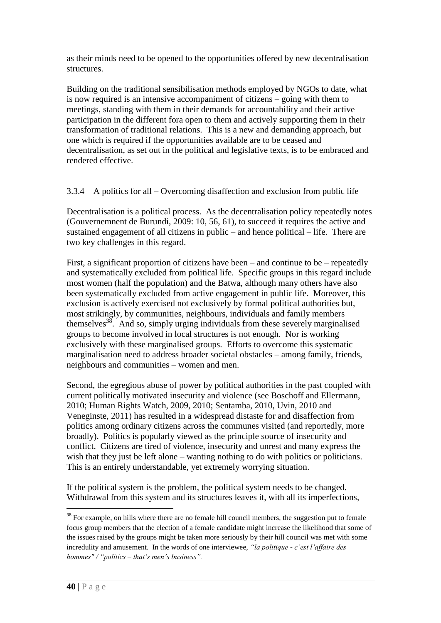as their minds need to be opened to the opportunities offered by new decentralisation structures.

Building on the traditional sensibilisation methods employed by NGOs to date, what is now required is an intensive accompaniment of citizens – going with them to meetings, standing with them in their demands for accountability and their active participation in the different fora open to them and actively supporting them in their transformation of traditional relations. This is a new and demanding approach, but one which is required if the opportunities available are to be ceased and decentralisation, as set out in the political and legislative texts, is to be embraced and rendered effective.

3.3.4 A politics for all – Overcoming disaffection and exclusion from public life

Decentralisation is a political process. As the decentralisation policy repeatedly notes (Gouvernemnent de Burundi, 2009: 10, 56, 61), to succeed it requires the active and sustained engagement of all citizens in public – and hence political – life. There are two key challenges in this regard.

First, a significant proportion of citizens have been – and continue to be – repeatedly and systematically excluded from political life. Specific groups in this regard include most women (half the population) and the Batwa, although many others have also been systematically excluded from active engagement in public life. Moreover, this exclusion is actively exercised not exclusively by formal political authorities but, most strikingly, by communities, neighbours, individuals and family members themselves<sup>38</sup>. And so, simply urging individuals from these severely marginalised groups to become involved in local structures is not enough. Nor is working exclusively with these marginalised groups. Efforts to overcome this systematic marginalisation need to address broader societal obstacles – among family, friends, neighbours and communities – women and men.

Second, the egregious abuse of power by political authorities in the past coupled with current politically motivated insecurity and violence (see Boschoff and Ellermann, 2010; Human Rights Watch, 2009, 2010; Sentamba, 2010, Uvin, 2010 and Veneginste, 2011) has resulted in a widespread distaste for and disaffection from politics among ordinary citizens across the communes visited (and reportedly, more broadly). Politics is popularly viewed as the principle source of insecurity and conflict. Citizens are tired of violence, insecurity and unrest and many express the wish that they just be left alone – wanting nothing to do with politics or politicians. This is an entirely understandable, yet extremely worrying situation.

If the political system is the problem, the political system needs to be changed. Withdrawal from this system and its structures leaves it, with all its imperfections,

<sup>&</sup>lt;sup>38</sup> For example, on hills where there are no female hill council members, the suggestion put to female focus group members that the election of a female candidate might increase the likelihood that some of the issues raised by the groups might be taken more seriously by their hill council was met with some incredulity and amusement. In the words of one interviewee, *"la politique - c"est l"affaire des hommes" / "politics – that"s men"s business".*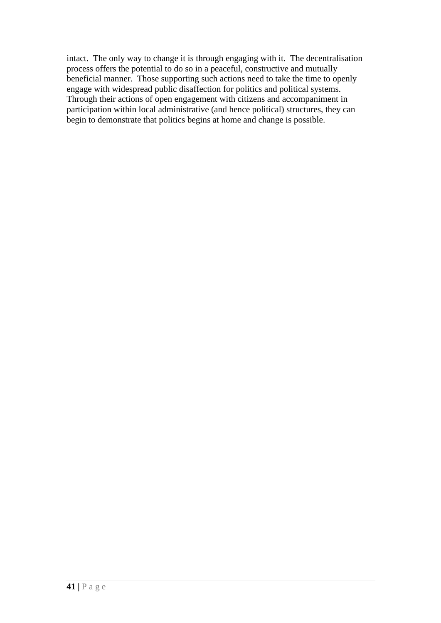intact. The only way to change it is through engaging with it. The decentralisation process offers the potential to do so in a peaceful, constructive and mutually beneficial manner. Those supporting such actions need to take the time to openly engage with widespread public disaffection for politics and political systems. Through their actions of open engagement with citizens and accompaniment in participation within local administrative (and hence political) structures, they can begin to demonstrate that politics begins at home and change is possible.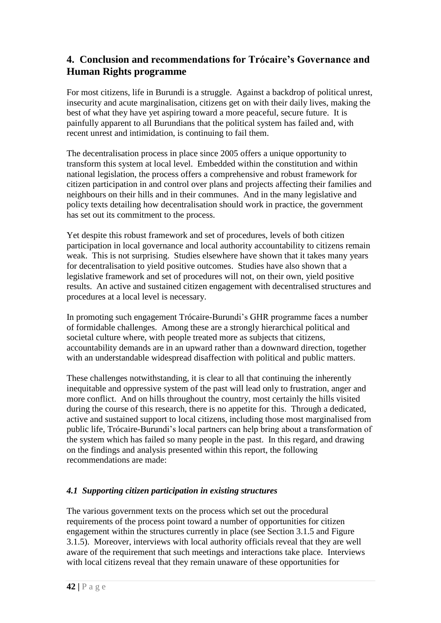## **4. Conclusion and recommendations for Trócaire's Governance and Human Rights programme**

For most citizens, life in Burundi is a struggle. Against a backdrop of political unrest, insecurity and acute marginalisation, citizens get on with their daily lives, making the best of what they have yet aspiring toward a more peaceful, secure future. It is painfully apparent to all Burundians that the political system has failed and, with recent unrest and intimidation, is continuing to fail them.

The decentralisation process in place since 2005 offers a unique opportunity to transform this system at local level. Embedded within the constitution and within national legislation, the process offers a comprehensive and robust framework for citizen participation in and control over plans and projects affecting their families and neighbours on their hills and in their communes. And in the many legislative and policy texts detailing how decentralisation should work in practice, the government has set out its commitment to the process.

Yet despite this robust framework and set of procedures, levels of both citizen participation in local governance and local authority accountability to citizens remain weak. This is not surprising. Studies elsewhere have shown that it takes many years for decentralisation to yield positive outcomes. Studies have also shown that a legislative framework and set of procedures will not, on their own, yield positive results. An active and sustained citizen engagement with decentralised structures and procedures at a local level is necessary.

In promoting such engagement Trócaire-Burundi"s GHR programme faces a number of formidable challenges. Among these are a strongly hierarchical political and societal culture where, with people treated more as subjects that citizens, accountability demands are in an upward rather than a downward direction, together with an understandable widespread disaffection with political and public matters.

These challenges notwithstanding, it is clear to all that continuing the inherently inequitable and oppressive system of the past will lead only to frustration, anger and more conflict. And on hills throughout the country, most certainly the hills visited during the course of this research, there is no appetite for this. Through a dedicated, active and sustained support to local citizens, including those most marginalised from public life, Trócaire-Burundi"s local partners can help bring about a transformation of the system which has failed so many people in the past. In this regard, and drawing on the findings and analysis presented within this report, the following recommendations are made:

## *4.1 Supporting citizen participation in existing structures*

The various government texts on the process which set out the procedural requirements of the process point toward a number of opportunities for citizen engagement within the structures currently in place (see Section 3.1.5 and Figure 3.1.5). Moreover, interviews with local authority officials reveal that they are well aware of the requirement that such meetings and interactions take place. Interviews with local citizens reveal that they remain unaware of these opportunities for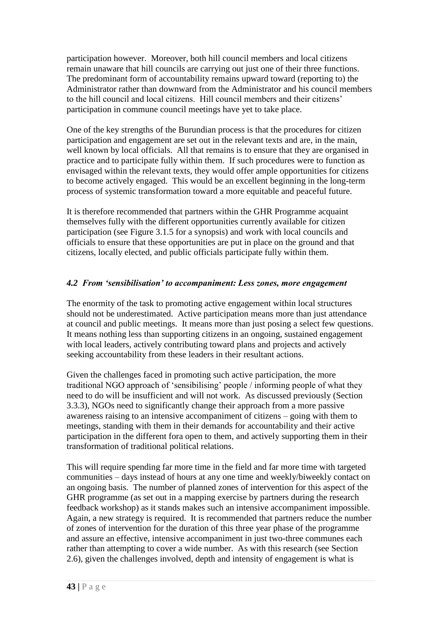participation however. Moreover, both hill council members and local citizens remain unaware that hill councils are carrying out just one of their three functions. The predominant form of accountability remains upward toward (reporting to) the Administrator rather than downward from the Administrator and his council members to the hill council and local citizens. Hill council members and their citizens" participation in commune council meetings have yet to take place.

One of the key strengths of the Burundian process is that the procedures for citizen participation and engagement are set out in the relevant texts and are, in the main, well known by local officials. All that remains is to ensure that they are organised in practice and to participate fully within them. If such procedures were to function as envisaged within the relevant texts, they would offer ample opportunities for citizens to become actively engaged. This would be an excellent beginning in the long-term process of systemic transformation toward a more equitable and peaceful future.

It is therefore recommended that partners within the GHR Programme acquaint themselves fully with the different opportunities currently available for citizen participation (see Figure 3.1.5 for a synopsis) and work with local councils and officials to ensure that these opportunities are put in place on the ground and that citizens, locally elected, and public officials participate fully within them.

## *4.2 From 'sensibilisation' to accompaniment: Less zones, more engagement*

The enormity of the task to promoting active engagement within local structures should not be underestimated. Active participation means more than just attendance at council and public meetings. It means more than just posing a select few questions. It means nothing less than supporting citizens in an ongoing, sustained engagement with local leaders, actively contributing toward plans and projects and actively seeking accountability from these leaders in their resultant actions.

Given the challenges faced in promoting such active participation, the more traditional NGO approach of "sensibilising" people / informing people of what they need to do will be insufficient and will not work. As discussed previously (Section 3.3.3), NGOs need to significantly change their approach from a more passive awareness raising to an intensive accompaniment of citizens – going with them to meetings, standing with them in their demands for accountability and their active participation in the different fora open to them, and actively supporting them in their transformation of traditional political relations.

This will require spending far more time in the field and far more time with targeted communities – days instead of hours at any one time and weekly/biweekly contact on an ongoing basis. The number of planned zones of intervention for this aspect of the GHR programme (as set out in a mapping exercise by partners during the research feedback workshop) as it stands makes such an intensive accompaniment impossible. Again, a new strategy is required. It is recommended that partners reduce the number of zones of intervention for the duration of this three year phase of the programme and assure an effective, intensive accompaniment in just two-three communes each rather than attempting to cover a wide number. As with this research (see Section 2.6), given the challenges involved, depth and intensity of engagement is what is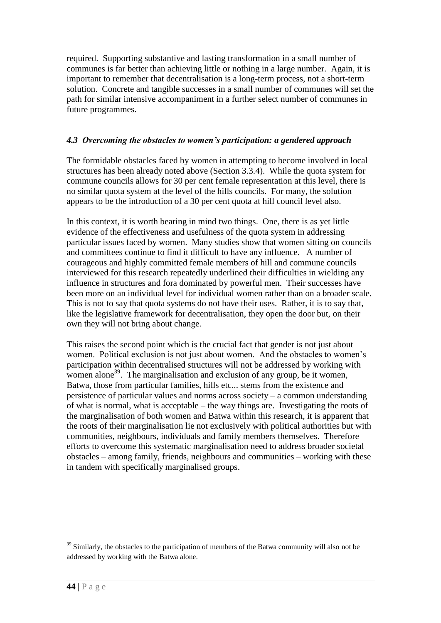required. Supporting substantive and lasting transformation in a small number of communes is far better than achieving little or nothing in a large number. Again, it is important to remember that decentralisation is a long-term process, not a short-term solution. Concrete and tangible successes in a small number of communes will set the path for similar intensive accompaniment in a further select number of communes in future programmes.

### *4.3 Overcoming the obstacles to women's participation: a gendered approach*

The formidable obstacles faced by women in attempting to become involved in local structures has been already noted above (Section 3.3.4). While the quota system for commune councils allows for 30 per cent female representation at this level, there is no similar quota system at the level of the hills councils. For many, the solution appears to be the introduction of a 30 per cent quota at hill council level also.

In this context, it is worth bearing in mind two things. One, there is as yet little evidence of the effectiveness and usefulness of the quota system in addressing particular issues faced by women. Many studies show that women sitting on councils and committees continue to find it difficult to have any influence. A number of courageous and highly committed female members of hill and commune councils interviewed for this research repeatedly underlined their difficulties in wielding any influence in structures and fora dominated by powerful men. Their successes have been more on an individual level for individual women rather than on a broader scale. This is not to say that quota systems do not have their uses. Rather, it is to say that, like the legislative framework for decentralisation, they open the door but, on their own they will not bring about change.

This raises the second point which is the crucial fact that gender is not just about women. Political exclusion is not just about women. And the obstacles to women"s participation within decentralised structures will not be addressed by working with women alone<sup>39</sup>. The marginalisation and exclusion of any group, be it women, Batwa, those from particular families, hills etc... stems from the existence and persistence of particular values and norms across society – a common understanding of what is normal, what is acceptable – the way things are. Investigating the roots of the marginalisation of both women and Batwa within this research, it is apparent that the roots of their marginalisation lie not exclusively with political authorities but with communities, neighbours, individuals and family members themselves. Therefore efforts to overcome this systematic marginalisation need to address broader societal obstacles – among family, friends, neighbours and communities – working with these in tandem with specifically marginalised groups.

<u>.</u>

 $39$  Similarly, the obstacles to the participation of members of the Batwa community will also not be addressed by working with the Batwa alone.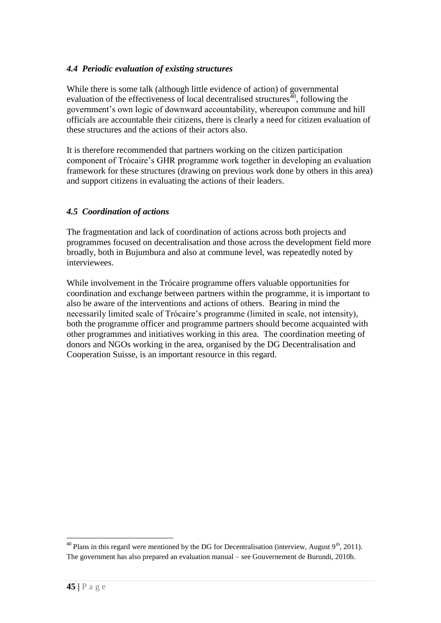### *4.4 Periodic evaluation of existing structures*

While there is some talk (although little evidence of action) of governmental evaluation of the effectiveness of local decentralised structures<sup> $40$ </sup>, following the government's own logic of downward accountability, whereupon commune and hill officials are accountable their citizens, there is clearly a need for citizen evaluation of these structures and the actions of their actors also.

It is therefore recommended that partners working on the citizen participation component of Trócaire"s GHR programme work together in developing an evaluation framework for these structures (drawing on previous work done by others in this area) and support citizens in evaluating the actions of their leaders.

### *4.5 Coordination of actions*

The fragmentation and lack of coordination of actions across both projects and programmes focused on decentralisation and those across the development field more broadly, both in Bujumbura and also at commune level, was repeatedly noted by interviewees.

While involvement in the Trócaire programme offers valuable opportunities for coordination and exchange between partners within the programme, it is important to also be aware of the interventions and actions of others. Bearing in mind the necessarily limited scale of Trócaire's programme (limited in scale, not intensity), both the programme officer and programme partners should become acquainted with other programmes and initiatives working in this area. The coordination meeting of donors and NGOs working in the area, organised by the DG Decentralisation and Cooperation Suisse, is an important resource in this regard.

<u>.</u>

<sup>&</sup>lt;sup>40</sup> Plans in this regard were mentioned by the DG for Decentralisation (interview, August  $9<sup>th</sup>$ , 2011). The government has also prepared an evaluation manual – see Gouvernement de Burundi, 2010b.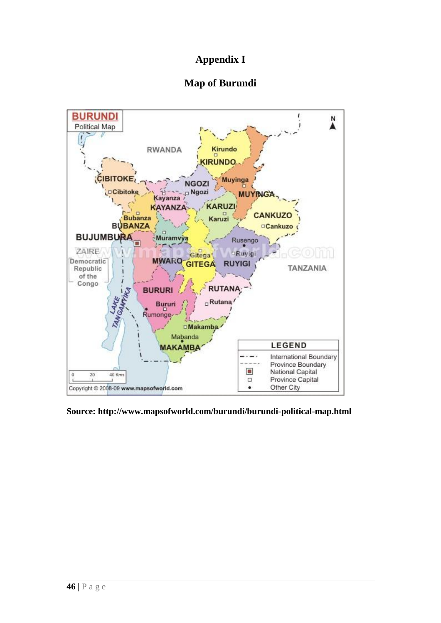## **Appendix I**

## **Map of Burundi**



**Source: http://www.mapsofworld.com/burundi/burundi-political-map.html**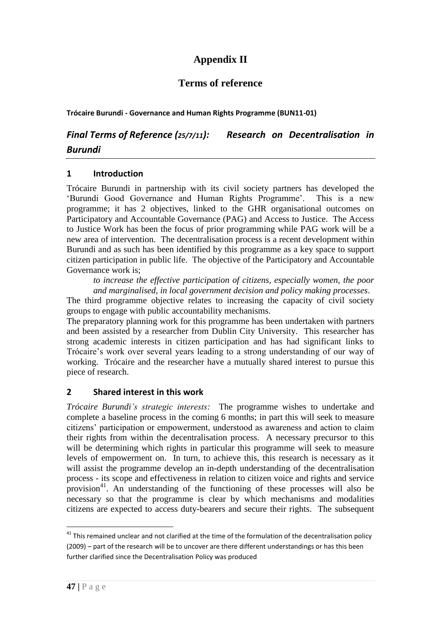## **Appendix II**

## **Terms of reference**

**Trócaire Burundi - Governance and Human Rights Programme (BUN11-01)**

*Final Terms of Reference (25/7/11): Research on Decentralisation in Burundi*

### **1 Introduction**

Trócaire Burundi in partnership with its civil society partners has developed the 'Burundi Good Governance and Human Rights Programme'. This is a new programme; it has 2 objectives, linked to the GHR organisational outcomes on Participatory and Accountable Governance (PAG) and Access to Justice. The Access to Justice Work has been the focus of prior programming while PAG work will be a new area of intervention. The decentralisation process is a recent development within Burundi and as such has been identified by this programme as a key space to support citizen participation in public life. The objective of the Participatory and Accountable Governance work is;

*to increase the effective participation of citizens, especially women, the poor and marginalised, in local government decision and policy making processes*.

The third programme objective relates to increasing the capacity of civil society groups to engage with public accountability mechanisms.

The preparatory planning work for this programme has been undertaken with partners and been assisted by a researcher from Dublin City University. This researcher has strong academic interests in citizen participation and has had significant links to Trócaire"s work over several years leading to a strong understanding of our way of working. Trócaire and the researcher have a mutually shared interest to pursue this piece of research.

## **2 Shared interest in this work**

*Trócaire Burundi"s strategic interests:* The programme wishes to undertake and complete a baseline process in the coming 6 months; in part this will seek to measure citizens" participation or empowerment, understood as awareness and action to claim their rights from within the decentralisation process. A necessary precursor to this will be determining which rights in particular this programme will seek to measure levels of empowerment on. In turn, to achieve this, this research is necessary as it will assist the programme develop an in-depth understanding of the decentralisation process - its scope and effectiveness in relation to citizen voice and rights and service provision<sup>41</sup>. An understanding of the functioning of these processes will also be necessary so that the programme is clear by which mechanisms and modalities citizens are expected to access duty-bearers and secure their rights. The subsequent

 $41$  This remained unclear and not clarified at the time of the formulation of the decentralisation policy (2009) – part of the research will be to uncover are there different understandings or has this been further clarified since the Decentralisation Policy was produced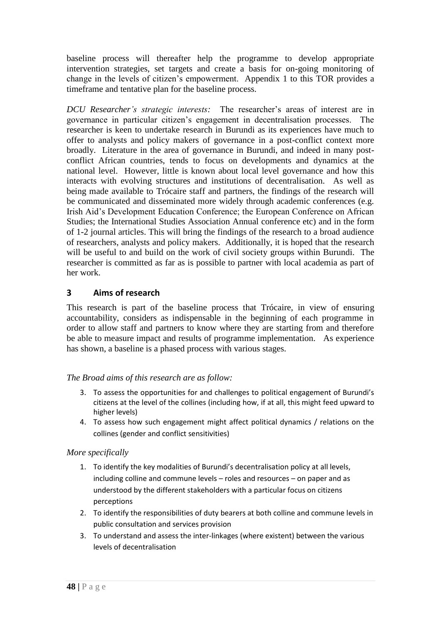baseline process will thereafter help the programme to develop appropriate intervention strategies, set targets and create a basis for on-going monitoring of change in the levels of citizen"s empowerment. Appendix 1 to this TOR provides a timeframe and tentative plan for the baseline process.

*DCU Researcher"s strategic interests:* The researcher"s areas of interest are in governance in particular citizen"s engagement in decentralisation processes. The researcher is keen to undertake research in Burundi as its experiences have much to offer to analysts and policy makers of governance in a post-conflict context more broadly. Literature in the area of governance in Burundi, and indeed in many postconflict African countries, tends to focus on developments and dynamics at the national level. However, little is known about local level governance and how this interacts with evolving structures and institutions of decentralisation. As well as being made available to Trócaire staff and partners, the findings of the research will be communicated and disseminated more widely through academic conferences (e.g. Irish Aid"s Development Education Conference; the European Conference on African Studies; the International Studies Association Annual conference etc) and in the form of 1-2 journal articles. This will bring the findings of the research to a broad audience of researchers, analysts and policy makers. Additionally, it is hoped that the research will be useful to and build on the work of civil society groups within Burundi. The researcher is committed as far as is possible to partner with local academia as part of her work.

### **3 Aims of research**

This research is part of the baseline process that Trócaire, in view of ensuring accountability, considers as indispensable in the beginning of each programme in order to allow staff and partners to know where they are starting from and therefore be able to measure impact and results of programme implementation. As experience has shown, a baseline is a phased process with various stages.

#### *The Broad aims of this research are as follow:*

- 3. To assess the opportunities for and challenges to political engagement of Burundi's citizens at the level of the collines (including how, if at all, this might feed upward to higher levels)
- 4. To assess how such engagement might affect political dynamics / relations on the collines (gender and conflict sensitivities)

#### *More specifically*

- 1. To identify the key modalities of Burundi's decentralisation policy at all levels, including colline and commune levels – roles and resources – on paper and as understood by the different stakeholders with a particular focus on citizens perceptions
- 2. To identify the responsibilities of duty bearers at both colline and commune levels in public consultation and services provision
- 3. To understand and assess the inter-linkages (where existent) between the various levels of decentralisation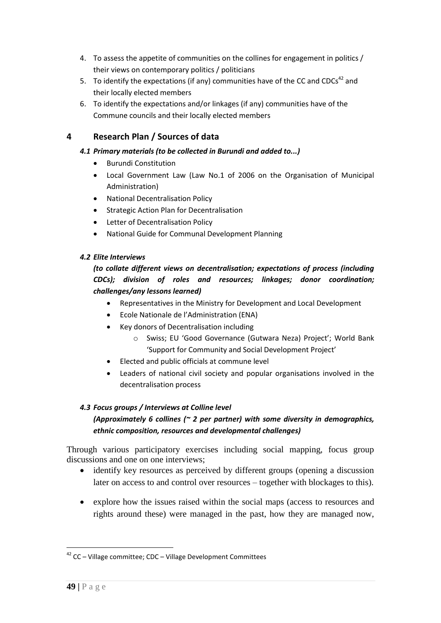- 4. To assess the appetite of communities on the collines for engagement in politics / their views on contemporary politics / politicians
- 5. To identify the expectations (if any) communities have of the CC and CDCs<sup>42</sup> and their locally elected members
- 6. To identify the expectations and/or linkages (if any) communities have of the Commune councils and their locally elected members

## **4 Research Plan / Sources of data**

#### *4.1 Primary materials (to be collected in Burundi and added to...)*

- Burundi Constitution
- Local Government Law (Law No.1 of 2006 on the Organisation of Municipal Administration)
- National Decentralisation Policy
- **•** Strategic Action Plan for Decentralisation
- Letter of Decentralisation Policy
- National Guide for Communal Development Planning

#### *4.2 Elite Interviews*

### *(to collate different views on decentralisation; expectations of process (including CDCs); division of roles and resources; linkages; donor coordination; challenges/any lessons learned)*

- Representatives in the Ministry for Development and Local Development
- Ecole Nationale de l'Administration (ENA)
- Key donors of Decentralisation including
	- o Swiss; EU 'Good Governance (Gutwara Neza) Project'; World Bank 'Support for Community and Social Development Project'
- Elected and public officials at commune level
- Leaders of national civil society and popular organisations involved in the decentralisation process

#### *4.3 Focus groups / Interviews at Colline level*

#### *(Approximately 6 collines (~ 2 per partner) with some diversity in demographics, ethnic composition, resources and developmental challenges)*

Through various participatory exercises including social mapping, focus group discussions and one on one interviews;

- identify key resources as perceived by different groups (opening a discussion later on access to and control over resources – together with blockages to this).
- explore how the issues raised within the social maps (access to resources and rights around these) were managed in the past, how they are managed now,

<sup>42</sup> CC – Village committee; CDC – Village Development Committees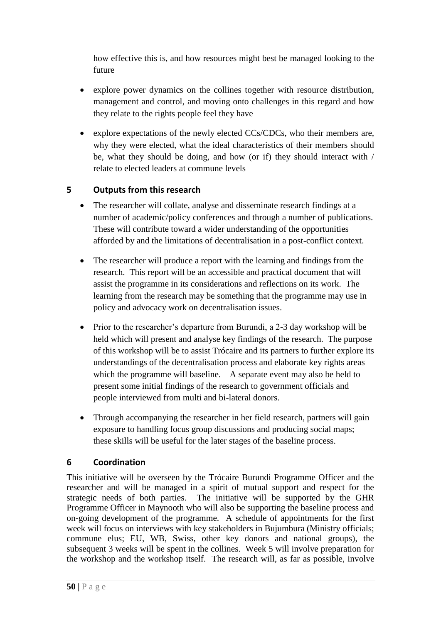how effective this is, and how resources might best be managed looking to the future

- explore power dynamics on the collines together with resource distribution, management and control, and moving onto challenges in this regard and how they relate to the rights people feel they have
- explore expectations of the newly elected CCs/CDCs, who their members are, why they were elected, what the ideal characteristics of their members should be, what they should be doing, and how (or if) they should interact with / relate to elected leaders at commune levels

## **5 Outputs from this research**

- The researcher will collate, analyse and disseminate research findings at a number of academic/policy conferences and through a number of publications. These will contribute toward a wider understanding of the opportunities afforded by and the limitations of decentralisation in a post-conflict context.
- The researcher will produce a report with the learning and findings from the research. This report will be an accessible and practical document that will assist the programme in its considerations and reflections on its work. The learning from the research may be something that the programme may use in policy and advocacy work on decentralisation issues.
- Prior to the researcher's departure from Burundi, a 2-3 day workshop will be held which will present and analyse key findings of the research. The purpose of this workshop will be to assist Trócaire and its partners to further explore its understandings of the decentralisation process and elaborate key rights areas which the programme will baseline. A separate event may also be held to present some initial findings of the research to government officials and people interviewed from multi and bi-lateral donors.
- Through accompanying the researcher in her field research, partners will gain exposure to handling focus group discussions and producing social maps; these skills will be useful for the later stages of the baseline process.

## **6 Coordination**

This initiative will be overseen by the Trócaire Burundi Programme Officer and the researcher and will be managed in a spirit of mutual support and respect for the strategic needs of both parties. The initiative will be supported by the GHR Programme Officer in Maynooth who will also be supporting the baseline process and on-going development of the programme. A schedule of appointments for the first week will focus on interviews with key stakeholders in Bujumbura (Ministry officials; commune elus; EU, WB, Swiss, other key donors and national groups), the subsequent 3 weeks will be spent in the collines. Week 5 will involve preparation for the workshop and the workshop itself. The research will, as far as possible, involve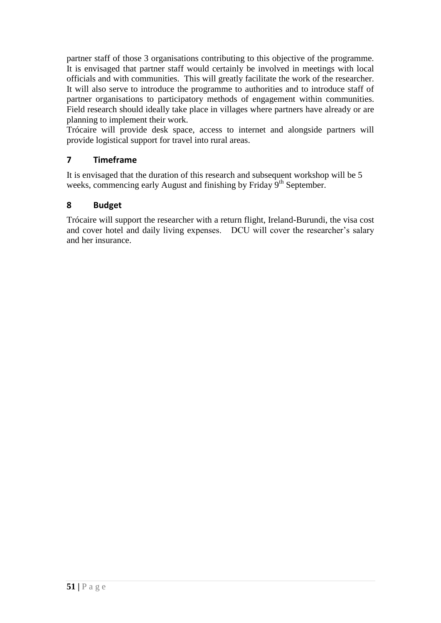partner staff of those 3 organisations contributing to this objective of the programme. It is envisaged that partner staff would certainly be involved in meetings with local officials and with communities. This will greatly facilitate the work of the researcher. It will also serve to introduce the programme to authorities and to introduce staff of partner organisations to participatory methods of engagement within communities. Field research should ideally take place in villages where partners have already or are planning to implement their work.

Trócaire will provide desk space, access to internet and alongside partners will provide logistical support for travel into rural areas.

## **7 Timeframe**

It is envisaged that the duration of this research and subsequent workshop will be 5 weeks, commencing early August and finishing by Friday 9<sup>th</sup> September.

## **8 Budget**

Trócaire will support the researcher with a return flight, Ireland-Burundi, the visa cost and cover hotel and daily living expenses. DCU will cover the researcher's salary and her insurance.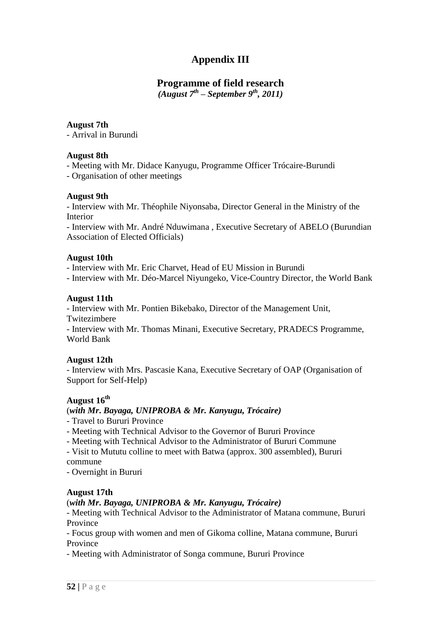## **Appendix III**

## **Programme of field research**

*(August 7th – September 9th, 2011)*

#### **August 7th**

- Arrival in Burundi

### **August 8th**

- Meeting with Mr. Didace Kanyugu, Programme Officer Trócaire-Burundi

- Organisation of other meetings

### **August 9th**

- Interview with Mr. Théophile Niyonsaba, Director General in the Ministry of the Interior

- Interview with Mr. André Nduwimana , Executive Secretary of ABELO (Burundian Association of Elected Officials)

### **August 10th**

- Interview with Mr. Eric Charvet, Head of EU Mission in Burundi

- Interview with Mr. Déo-Marcel Niyungeko, Vice-Country Director, the World Bank

## **August 11th**

- Interview with Mr. Pontien Bikebako, Director of the Management Unit, Twitezimbere

- Interview with Mr. Thomas Minani, Executive Secretary, PRADECS Programme, World Bank

## **August 12th**

- Interview with Mrs. Pascasie Kana, Executive Secretary of OAP (Organisation of Support for Self-Help)

## **August 16th**

## (*with Mr***.** *Bayaga, UNIPROBA & Mr. Kanyugu, Trócaire)*

- Travel to Bururi Province

- Meeting with Technical Advisor to the Governor of Bururi Province

- Meeting with Technical Advisor to the Administrator of Bururi Commune

- Visit to Mututu colline to meet with Batwa (approx. 300 assembled), Bururi commune

- Overnight in Bururi

## **August 17th**

## (*with Mr***.** *Bayaga, UNIPROBA & Mr. Kanyugu, Trócaire)*

- Meeting with Technical Advisor to the Administrator of Matana commune, Bururi Province

- Focus group with women and men of Gikoma colline, Matana commune, Bururi Province

- Meeting with Administrator of Songa commune, Bururi Province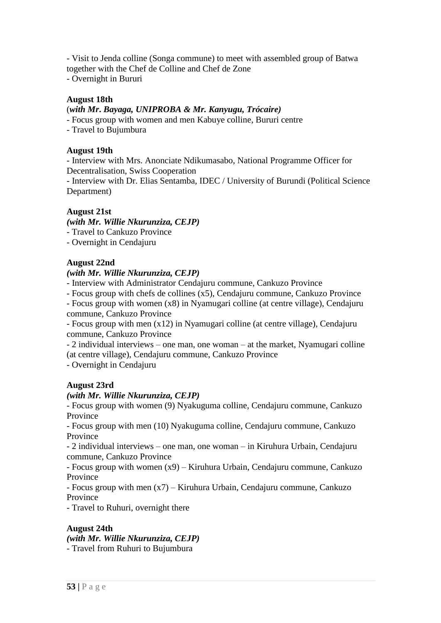- Visit to Jenda colline (Songa commune) to meet with assembled group of Batwa together with the Chef de Colline and Chef de Zone

- Overnight in Bururi

#### **August 18th**

#### (*with Mr***.** *Bayaga, UNIPROBA & Mr. Kanyugu, Trócaire)*

- Focus group with women and men Kabuye colline, Bururi centre

- Travel to Bujumbura

#### **August 19th**

- Interview with Mrs. Anonciate Ndikumasabo, National Programme Officer for Decentralisation, Swiss Cooperation

- Interview with Dr. Elias Sentamba, IDEC / University of Burundi (Political Science Department)

### **August 21st**

*(with Mr. Willie Nkurunziza, CEJP)*

- Travel to Cankuzo Province

- Overnight in Cendajuru

#### **August 22nd**

#### *(with Mr. Willie Nkurunziza, CEJP)*

- Interview with Administrator Cendajuru commune, Cankuzo Province

- Focus group with chefs de collines (x5), Cendajuru commune, Cankuzo Province

- Focus group with women (x8) in Nyamugari colline (at centre village), Cendajuru commune, Cankuzo Province

- Focus group with men (x12) in Nyamugari colline (at centre village), Cendajuru commune, Cankuzo Province

- 2 individual interviews – one man, one woman – at the market, Nyamugari colline (at centre village), Cendajuru commune, Cankuzo Province

- Overnight in Cendajuru

#### **August 23rd**

#### *(with Mr. Willie Nkurunziza, CEJP)*

- Focus group with women (9) Nyakuguma colline, Cendajuru commune, Cankuzo Province

- Focus group with men (10) Nyakuguma colline, Cendajuru commune, Cankuzo Province

- 2 individual interviews – one man, one woman – in Kiruhura Urbain, Cendajuru commune, Cankuzo Province

- Focus group with women (x9) – Kiruhura Urbain, Cendajuru commune, Cankuzo Province

- Focus group with men (x7) – Kiruhura Urbain, Cendajuru commune, Cankuzo Province

- Travel to Ruhuri, overnight there

#### **August 24th**

*(with Mr. Willie Nkurunziza, CEJP)* - Travel from Ruhuri to Bujumbura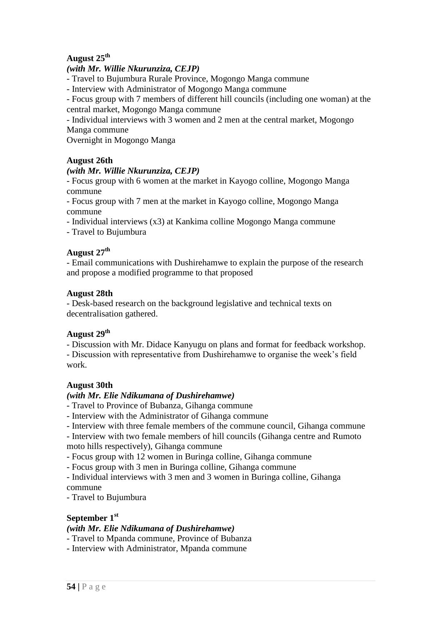## **August 25th**

#### *(with Mr. Willie Nkurunziza, CEJP)*

- Travel to Bujumbura Rurale Province, Mogongo Manga commune

- Interview with Administrator of Mogongo Manga commune

- Focus group with 7 members of different hill councils (including one woman) at the central market, Mogongo Manga commune

- Individual interviews with 3 women and 2 men at the central market, Mogongo Manga commune

Overnight in Mogongo Manga

#### **August 26th**

#### *(with Mr. Willie Nkurunziza, CEJP)*

- Focus group with 6 women at the market in Kayogo colline, Mogongo Manga commune

- Focus group with 7 men at the market in Kayogo colline, Mogongo Manga commune

- Individual interviews (x3) at Kankima colline Mogongo Manga commune

- Travel to Bujumbura

## **August 27th**

- Email communications with Dushirehamwe to explain the purpose of the research and propose a modified programme to that proposed

#### **August 28th**

- Desk-based research on the background legislative and technical texts on decentralisation gathered.

## **August 29th**

- Discussion with Mr. Didace Kanyugu on plans and format for feedback workshop. - Discussion with representative from Dushirehamwe to organise the week"s field work.

#### **August 30th**

#### *(with Mr. Elie Ndikumana of Dushirehamwe)*

- Travel to Province of Bubanza, Gihanga commune

- Interview with the Administrator of Gihanga commune

- Interview with three female members of the commune council, Gihanga commune

- Interview with two female members of hill councils (Gihanga centre and Rumoto moto hills respectively), Gihanga commune

- Focus group with 12 women in Buringa colline, Gihanga commune

- Focus group with 3 men in Buringa colline, Gihanga commune

- Individual interviews with 3 men and 3 women in Buringa colline, Gihanga commune

- Travel to Bujumbura

#### **September 1st**

#### *(with Mr. Elie Ndikumana of Dushirehamwe)*

- Travel to Mpanda commune, Province of Bubanza

- Interview with Administrator, Mpanda commune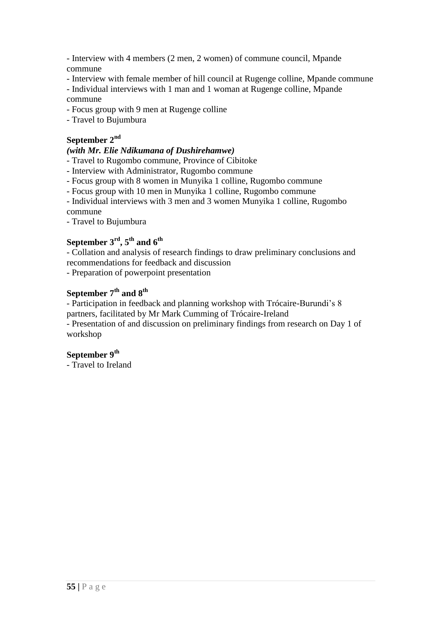- Interview with 4 members (2 men, 2 women) of commune council, Mpande commune

- Interview with female member of hill council at Rugenge colline, Mpande commune

- Individual interviews with 1 man and 1 woman at Rugenge colline, Mpande commune

- Focus group with 9 men at Rugenge colline

- Travel to Bujumbura

#### **September 2nd**

#### *(with Mr. Elie Ndikumana of Dushirehamwe)*

- Travel to Rugombo commune, Province of Cibitoke

- Interview with Administrator, Rugombo commune

- Focus group with 8 women in Munyika 1 colline, Rugombo commune

- Focus group with 10 men in Munyika 1 colline, Rugombo commune

- Individual interviews with 3 men and 3 women Munyika 1 colline, Rugombo commune

- Travel to Bujumbura

## **September 3rd, 5th and 6th**

- Collation and analysis of research findings to draw preliminary conclusions and recommendations for feedback and discussion

- Preparation of powerpoint presentation

## **September 7th and 8th**

- Participation in feedback and planning workshop with Trócaire-Burundi"s 8 partners, facilitated by Mr Mark Cumming of Trócaire-Ireland

- Presentation of and discussion on preliminary findings from research on Day 1 of

workshop

## **September 9th**

- Travel to Ireland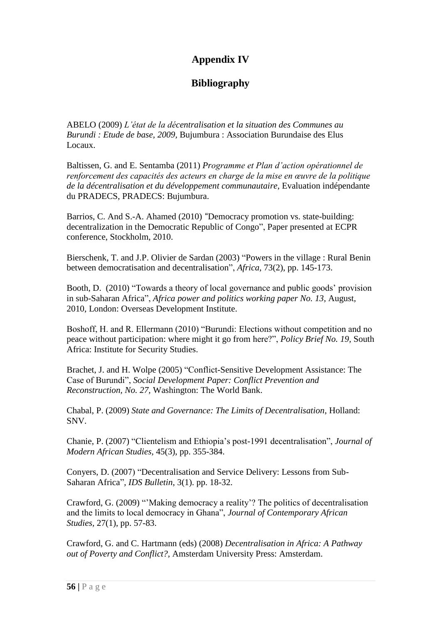## **Appendix IV**

## **Bibliography**

ABELO (2009) *L"état de la décentralisation et la situation des Communes au Burundi : Etude de base, 2009,* Bujumbura : Association Burundaise des Elus Locaux.

Baltissen, G. and E. Sentamba (2011) *Programme et Plan d"action opérationnel de renforcement des capacités des acteurs en charge de la mise en œuvre de la politique de la décentralisation et du développement communautaire*, Evaluation indépendante du PRADECS, PRADECS: Bujumbura.

Barrios, C. And S.-A. Ahamed (2010) "Democracy promotion vs. state-building: decentralization in the Democratic Republic of Congo", Paper presented at ECPR conference, Stockholm, 2010.

Bierschenk, T. and J.P. Olivier de Sardan (2003) "Powers in the village : Rural Benin between democratisation and decentralisation", *Africa,* 73(2), pp. 145-173.

Booth, D. (2010) "Towards a theory of local governance and public goods" provision in sub-Saharan Africa", *Africa power and politics working paper No. 13,* August, 2010, London: Overseas Development Institute.

Boshoff, H. and R. Ellermann (2010) "Burundi: Elections without competition and no peace without participation: where might it go from here?", *Policy Brief No. 19,* South Africa: Institute for Security Studies.

Brachet, J. and H. Wolpe (2005) "Conflict-Sensitive Development Assistance: The Case of Burundi", *Social Development Paper: Conflict Prevention and Reconstruction, No. 27,* Washington: The World Bank.

Chabal, P. (2009) *State and Governance: The Limits of Decentralisation*, Holland: SNV.

Chanie, P. (2007) "Clientelism and Ethiopia"s post-1991 decentralisation", *Journal of Modern African Studies,* 45(3), pp. 355-384.

Conyers, D. (2007) "Decentralisation and Service Delivery: Lessons from Sub-Saharan Africa"*, IDS Bulletin*, 3(1). pp. 18-32.

Crawford, G. (2009) ""Making democracy a reality"? The politics of decentralisation and the limits to local democracy in Ghana", *Journal of Contemporary African Studies,* 27(1), pp. 57-83.

Crawford, G. and C. Hartmann (eds) (2008) *Decentralisation in Africa: A Pathway out of Poverty and Conflict?,* Amsterdam University Press: Amsterdam.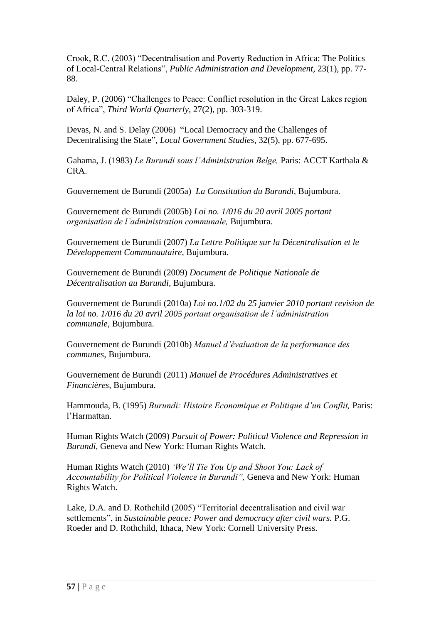Crook, R.C. (2003) "Decentralisation and Poverty Reduction in Africa: The Politics of Local-Central Relations", *Public Administration and Development,* 23(1), pp. 77- 88.

Daley, P. (2006) "Challenges to Peace: Conflict resolution in the Great Lakes region of Africa", *Third World Quarterly,* 27(2), pp. 303-319.

Devas, N. and S. Delay (2006) "Local Democracy and the Challenges of Decentralising the State", *Local Government Studies,* 32(5), pp. 677-695.

Gahama, J. (1983) *Le Burundi sous l"Administration Belge,* Paris: ACCT Karthala & CRA.

Gouvernement de Burundi (2005a) *La Constitution du Burundi,* Bujumbura.

Gouvernement de Burundi (2005b) *Loi no. 1/016 du 20 avril 2005 portant organisation de l"administration communale,* Bujumbura.

Gouvernement de Burundi (2007) *La Lettre Politique sur la Décentralisation et le Développement Communautaire,* Bujumbura.

Gouvernement de Burundi (2009) *Document de Politique Nationale de Décentralisation au Burundi,* Bujumbura.

Gouvernement de Burundi (2010a) *Loi no.1/02 du 25 janvier 2010 portant revision de la loi no. 1/016 du 20 avril 2005 portant organisation de l"administration communale,* Bujumbura.

Gouvernement de Burundi (2010b) *Manuel d"évaluation de la performance des communes*, Bujumbura.

Gouvernement de Burundi (2011) *Manuel de Procédures Administratives et Financières,* Bujumbura.

Hammouda, B. (1995) *Burundi: Histoire Economique et Politique d"un Conflit,* Paris: l"Harmattan.

Human Rights Watch (2009) *Pursuit of Power: Political Violence and Repression in Burundi,* Geneva and New York: Human Rights Watch.

Human Rights Watch (2010) *"We"ll Tie You Up and Shoot You: Lack of Accountability for Political Violence in Burundi",* Geneva and New York: Human Rights Watch.

Lake, D.A. and D. Rothchild (2005) "Territorial decentralisation and civil war settlements", in *Sustainable peace: Power and democracy after civil wars. P.G.* Roeder and D. Rothchild, Ithaca, New York: Cornell University Press.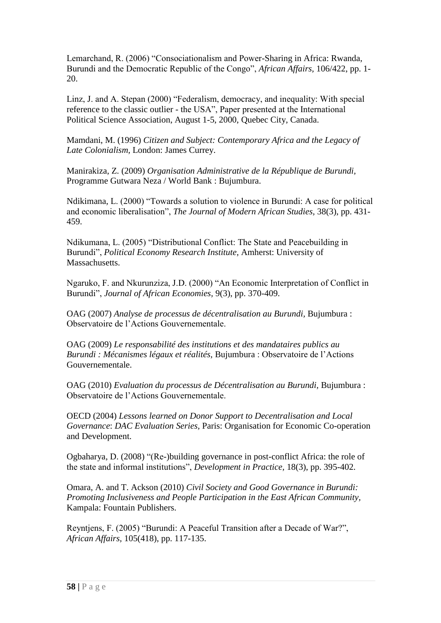Lemarchand, R. (2006) "Consociationalism and Power-Sharing in Africa: Rwanda, Burundi and the Democratic Republic of the Congo", *African Affairs,* 106/422, pp. 1- 20.

Linz, J. and A. Stepan (2000) "Federalism, democracy, and inequality: With special reference to the classic outlier - the USA", Paper presented at the International Political Science Association, August 1-5, 2000, Quebec City, Canada.

Mamdani, M. (1996) *Citizen and Subject: Contemporary Africa and the Legacy of Late Colonialism,* London: James Currey.

Manirakiza, Z. (2009) *Organisation Administrative de la République de Burundi,*  Programme Gutwara Neza / World Bank : Bujumbura.

Ndikimana, L. (2000) "Towards a solution to violence in Burundi: A case for political and economic liberalisation", *The Journal of Modern African Studies,* 38(3), pp. 431- 459.

Ndikumana, L. (2005) "Distributional Conflict: The State and Peacebuilding in Burundi", *Political Economy Research Institute,* Amherst: University of Massachusetts.

Ngaruko, F. and Nkurunziza, J.D. (2000) "An Economic Interpretation of Conflict in Burundi", *Journal of African Economies,* 9(3), pp. 370-409.

OAG (2007) *Analyse de processus de décentralisation au Burundi,* Bujumbura : Observatoire de l"Actions Gouvernementale.

OAG (2009) *Le responsabilité des institutions et des mandataires publics au Burundi : Mécanismes légaux et réalités,* Bujumbura : Observatoire de l"Actions Gouvernementale.

OAG (2010) *Evaluation du processus de Décentralisation au Burundi,* Bujumbura : Observatoire de l"Actions Gouvernementale.

OECD (2004) *Lessons learned on Donor Support to Decentralisation and Local Governance*: *DAC Evaluation Series,* Paris: Organisation for Economic Co-operation and Development.

Ogbaharya, D. (2008) "(Re-)building governance in post-conflict Africa: the role of the state and informal institutions", *Development in Practice,* 18(3), pp. 395-402.

Omara, A. and T. Ackson (2010) *Civil Society and Good Governance in Burundi: Promoting Inclusiveness and People Participation in the East African Community,*  Kampala: Fountain Publishers.

Reyntjens, F. (2005) "Burundi: A Peaceful Transition after a Decade of War?", *African Affairs,* 105(418), pp. 117-135.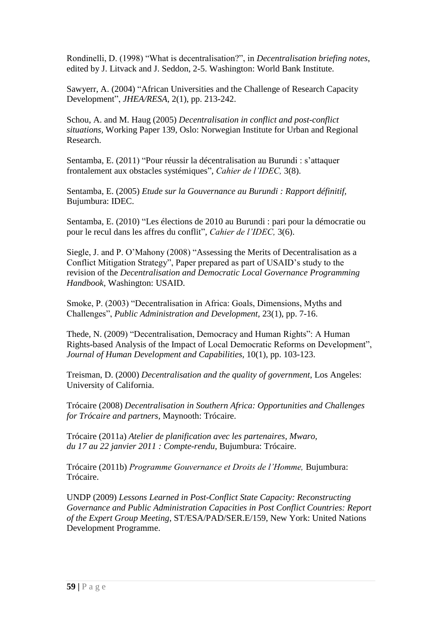Rondinelli, D. (1998) "What is decentralisation?", in *Decentralisation briefing notes*, edited by J. Litvack and J. Seddon, 2-5. Washington: World Bank Institute.

Sawyerr, A. (2004) "African Universities and the Challenge of Research Capacity Development", *JHEA/RESA*, 2(1), pp. 213-242.

Schou, A. and M. Haug (2005) *Decentralisation in conflict and post-conflict situations,* Working Paper 139, Oslo: Norwegian Institute for Urban and Regional Research.

Sentamba, E. (2011) "Pour réussir la décentralisation au Burundi : s'attaquer frontalement aux obstacles systémiques", *Cahier de l"IDEC,* 3(8).

Sentamba, E. (2005) *Etude sur la Gouvernance au Burundi : Rapport définitif,*  Bujumbura: IDEC.

Sentamba, E. (2010) "Les élections de 2010 au Burundi : pari pour la démocratie ou pour le recul dans les affres du conflit", *Cahier de l"IDEC,* 3(6).

Siegle, J. and P. O"Mahony (2008) "Assessing the Merits of Decentralisation as a Conflict Mitigation Strategy", Paper prepared as part of USAID"s study to the revision of the *Decentralisation and Democratic Local Governance Programming Handbook,* Washington: USAID.

Smoke, P. (2003) "Decentralisation in Africa: Goals, Dimensions, Myths and Challenges", *Public Administration and Development,* 23(1), pp. 7-16.

Thede, N. (2009) "Decentralisation, Democracy and Human Rights": A Human Rights-based Analysis of the Impact of Local Democratic Reforms on Development", *Journal of Human Development and Capabilities,* 10(1), pp. 103-123.

Treisman, D. (2000) *Decentralisation and the quality of government,* Los Angeles: University of California.

Trócaire (2008) *Decentralisation in Southern Africa: Opportunities and Challenges for Trócaire and partners,* Maynooth: Trócaire.

Trócaire (2011a) *Atelier de planification avec les partenaires, Mwaro, du 17 au 22 janvier 2011 : Compte-rendu,* Bujumbura: Trócaire.

Trócaire (2011b) *Programme Gouvernance et Droits de l"Homme,* Bujumbura: Trócaire.

UNDP (2009) *Lessons Learned in Post-Conflict State Capacity: Reconstructing Governance and Public Administration Capacities in Post Conflict Countries: Report of the Expert Group Meeting*, ST/ESA/PAD/SER.E/159, New York: United Nations Development Programme.